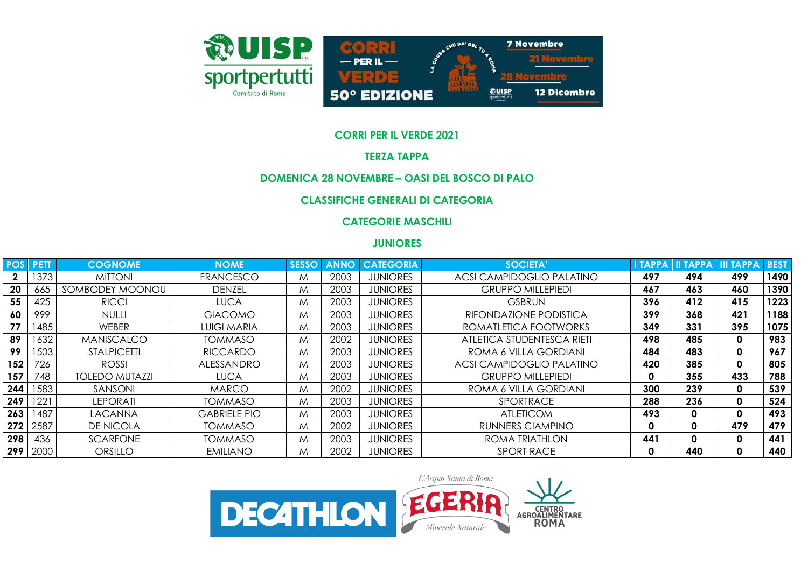

# **CORRI PER IL VERDE 2021**

### **TERZA TAPPA**

### **DOMENICA 28 NOVEMBRE – OASI DEL BOSCO DI PALO**

# **CLASSIFICHE GENERALI DI CATEGORIA**

# **CATEGORIE MASCHILI**

# **JUNIORES**

| <b>POS</b> | <b>PETT</b> | <b>COGNOME</b>        | <b>NOME</b>         | <b>SESSO</b> | <b>ANNO</b> | <b>CATEGORIA</b> | <b>SOCIETA'</b>            | <b>I TAPPA</b> |             | TAPPA   III TAPPA | <b>BEST</b> |
|------------|-------------|-----------------------|---------------------|--------------|-------------|------------------|----------------------------|----------------|-------------|-------------------|-------------|
|            | 1373        | <b>MITTONI</b>        | <b>FRANCESCO</b>    | M            | 2003        | <b>JUNIORES</b>  | ACSI CAMPIDOGLIO PALATINO  | 497            | 494         | 499               | 1490        |
| 20         | 665         | SOMBODEY MOONOU       | <b>DENZEL</b>       | M            | 2003        | <b>JUNIORES</b>  | <b>GRUPPO MILLEPIEDI</b>   | 467            | 463         | 460               | 1390        |
| 55         | 425         | <b>RICCI</b>          | <b>LUCA</b>         | M            | 2003        | <b>JUNIORES</b>  | <b>GSBRUN</b>              | 396            | 412         | 415               | 1223        |
| 60         | 999         | <b>NULLI</b>          | <b>GIACOMO</b>      | M            | 2003        | <b>JUNIORES</b>  | RIFONDAZIONE PODISTICA     | 399            | 368         | 421               | 1188        |
| 77         | 1485        | <b>WEBER</b>          | <b>LUIGI MARIA</b>  | M            | 2003        | <b>JUNIORES</b>  | ROMATLETICA FOOTWORKS      | 349            | 331         | 395               | 1075        |
| 89         | 1632        | <b>MANISCALCO</b>     | <b>TOMMASO</b>      | M            | 2002        | <b>JUNIORES</b>  | ATLETICA STUDENTESCA RIETI | 498            | 485         | $\mathbf{0}$      | 983         |
| 99         | 1503        | <b>STALPICETTI</b>    | <b>RICCARDO</b>     | M            | 2003        | <b>JUNIORES</b>  | ROMA 6 VILLA GORDIANI      | 484            | 483         | 0                 | 967         |
| 152        | 726         | <b>ROSSI</b>          | ALESSANDRO          | M            | 2003        | <b>JUNIORES</b>  | ACSI CAMPIDOGLIO PALATINO  | 420            | 385         | $\mathbf{0}$      | 805         |
| 157        | 748         | <b>TOLEDO MUTAZZI</b> | <b>LUCA</b>         | M            | 2003        | <b>JUNIORES</b>  | <b>GRUPPO MILLEPIEDI</b>   | 0              | 355         | 433               | 788         |
| 244        | 1583        | SANSONI               | <b>MARCO</b>        | M            | 2002        | <b>JUNIORES</b>  | ROMA 6 VILLA GORDIANI      | 300            | 239         | 0                 | 539         |
| 249        | 1221        | <b>LEPORATI</b>       | TOMMASO             | M            | 2003        | <b>JUNIORES</b>  | SPORTRACE                  | 288            | 236         | $\mathbf{0}$      | 524         |
| 263        | 1487        | <b>LACANNA</b>        | <b>GABRIELE PIO</b> | M            | 2003        | <b>JUNIORES</b>  | <b>ATLETICOM</b>           | 493            | $\mathbf 0$ | $\mathbf{0}$      | 493         |
| 272        | 2587        | DE NICOLA             | TOMMASO             | M            | 2002        | <b>JUNIORES</b>  | <b>RUNNERS CIAMPINO</b>    | 0              | $\mathbf 0$ | 479               | 479         |
| 298        | 436         | <b>SCARFONE</b>       | TOMMASO             | M            | 2003        | <b>JUNIORES</b>  | ROMA TRIATHLON             | 441            | $\mathbf 0$ | 0                 | 441         |
| 299        | 2000        | ORSILLO               | <b>EMILIANO</b>     | M            | 2002        | <b>JUNIORES</b>  | <b>SPORT RACE</b>          | 0              | 440         | 0                 | 440         |

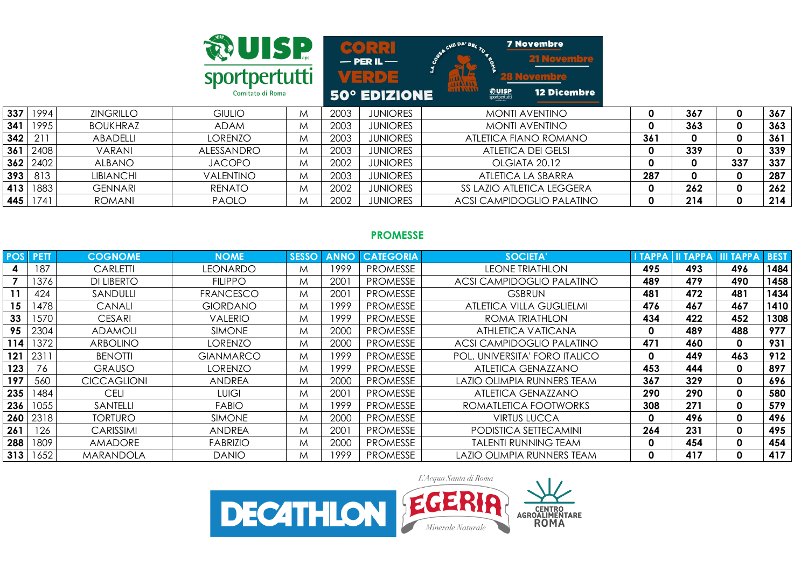|     |      |                  | <b>RUISP</b><br>sportpertutti<br>Comitato di Roma |   |      | 6033<br>$-$ PER IL $-$<br>VERDE<br><b>50° EDIZIONE</b> | <b>7 Novembre</b><br><b>21 Novembre</b><br>3<br>l E<br><b>HAAALL</b><br><b>HAAAAAA</b><br>熱UISP<br><b>12 Dicembre</b><br>sportpertutti |              |     |     |     |
|-----|------|------------------|---------------------------------------------------|---|------|--------------------------------------------------------|----------------------------------------------------------------------------------------------------------------------------------------|--------------|-----|-----|-----|
| 337 | 1994 | <b>ZINGRILLO</b> | <b>GIULIO</b>                                     | M | 2003 | <b>JUNIORES</b>                                        | <b>MONTI AVENTINO</b>                                                                                                                  | 0            | 367 | 0   | 367 |
| 341 | 1995 | <b>BOUKHRAZ</b>  | <b>ADAM</b>                                       | M | 2003 | <b>JUNIORES</b>                                        | <b>MONTI AVENTINO</b>                                                                                                                  | $\mathbf{0}$ | 363 | 0   | 363 |
| 342 | 211  | ABADELLI         | <b>LORENZO</b>                                    | M | 2003 | <b>JUNIORES</b>                                        | ATLETICA FIANO ROMANO                                                                                                                  | 361          | 0   | 0   | 361 |
| 361 | 2408 | <b>VARANI</b>    | ALESSANDRO                                        | M | 2003 | <b>JUNIORES</b>                                        | ATLETICA DEI GELSI                                                                                                                     | 0            | 339 | 0   | 339 |
| 362 | 2402 | ALBANO           | <b>JACOPO</b>                                     | M | 2002 | <b>JUNIORES</b>                                        | OLGIATA 20.12                                                                                                                          | 0            | 0   | 337 | 337 |
| 393 | 813  | <b>LIBIANCHI</b> | <b>VALENTINO</b>                                  | M | 2003 | <b>JUNIORES</b>                                        | ATLETICA LA SBARRA                                                                                                                     | 287          | 0   | 0   | 287 |
| 413 | 1883 | <b>GENNARI</b>   | <b>RENATO</b>                                     | M | 2002 | <b>JUNIORES</b>                                        | SS LAZIO ATLETICA LEGGERA                                                                                                              | $\mathbf 0$  | 262 | 0   | 262 |
| 445 | 1741 | <b>ROMANI</b>    | <b>PAOLO</b>                                      | M | 2002 | <b>JUNIORES</b>                                        | <b>ACSI CAMPIDOGLIO PALATINO</b>                                                                                                       | 0            | 214 | 0   | 214 |

# **PROMESSE**

| <b>POS</b> | <b>PETT</b> | <b>COGNOME</b>     | <b>NOME</b>      | <b>SESSO</b> | <b>ANNO</b> | <b>CATEGORIA</b> | SOCIETA'                         | <b>TAPPA</b> | <b>II TAPPA</b> | III TAPPA    | <b>BEST</b> |
|------------|-------------|--------------------|------------------|--------------|-------------|------------------|----------------------------------|--------------|-----------------|--------------|-------------|
|            | 187         | CARLETTI           | LEONARDO         | M            | 1999        | <b>PROMESSE</b>  | <b>LEONE TRIATHLON</b>           | 495          | 493             | 496          | 1484        |
|            | 1376        | <b>DI LIBERTO</b>  | <b>FILIPPO</b>   | M            | 2001        | <b>PROMESSE</b>  | <b>ACSI CAMPIDOGLIO PALATINO</b> | 489          | 479             | 490          | 1458        |
|            | 424         | SANDULLI           | <b>FRANCESCO</b> | M            | 2001        | <b>PROMESSE</b>  | <b>GSBRUN</b>                    | 481          | 472             | 481          | 1434        |
| 15         | 1478        | CANALI             | <b>GIORDANO</b>  | M            | 1999        | <b>PROMESSE</b>  | ATLETICA VILLA GUGLIELMI         | 476          | 467             | 467          | 1410        |
| 33         | 1570        | <b>CESARI</b>      | <b>VALERIO</b>   | M            | 1999        | <b>PROMESSE</b>  | ROMA TRIATHLON                   | 434          | 422             | 452          | 1308        |
| 95         | 2304        | <b>ADAMOLI</b>     | <b>SIMONE</b>    | M            | 2000        | <b>PROMESSE</b>  | <b>ATHLETICA VATICANA</b>        | 0            | 489             | 488          | 977         |
| 114        | 1372        | <b>ARBOLINO</b>    | <b>LORENZO</b>   | M            | 2000        | <b>PROMESSE</b>  | ACSI CAMPIDOGLIO PALATINO        | 471          | 460             | $\mathbf{0}$ | 931         |
| 121        | 231         | <b>BENOTTI</b>     | <b>GIANMARCO</b> | M            | 1999        | <b>PROMESSE</b>  | POL. UNIVERSITA' FORO ITALICO    | 0            | 449             | 463          | 912         |
| 123        | 76          | <b>GRAUSO</b>      | <b>LORENZO</b>   | M            | 1999        | <b>PROMESSE</b>  | ATLETICA GENAZZANO               | 453          | 444             | $\mathbf 0$  | 897         |
| 197        | 560         | <b>CICCAGLIONI</b> | ANDREA           | M            | 2000        | <b>PROMESSE</b>  | LAZIO OLIMPIA RUNNERS TEAM       | 367          | 329             | $\mathbf 0$  | 696         |
| 235        | 1484        | <b>CELI</b>        | <b>LUIGI</b>     | M            | 2001        | <b>PROMESSE</b>  | <b>ATLETICA GENAZZANO</b>        | 290          | 290             | 0            | 580         |
| 236        | 1055        | SANTELLI           | <b>FABIO</b>     | M            | 1999        | <b>PROMESSE</b>  | ROMATLETICA FOOTWORKS            | 308          | 271             | $\mathbf{0}$ | 579         |
| 260        | 2318        | TORTURO            | <b>SIMONE</b>    | M            | 2000        | <b>PROMESSE</b>  | <b>VIRTUS LUCCA</b>              | 0            | 496             | $\mathbf{0}$ | 496         |
| 261        | 126         | CARISSIMI          | ANDREA           | M            | 2001        | <b>PROMESSE</b>  | PODISTICA SETTECAMINI            | 264          | 231             | $\mathbf{0}$ | 495         |
| 288        | 1809        | AMADORE            | <b>FABRIZIO</b>  | M            | 2000        | <b>PROMESSE</b>  | <b>TALENTI RUNNING TEAM</b>      | 0            | 454             | 0            | 454         |
| 313        | 1652        | <b>MARANDOLA</b>   | <b>DANIO</b>     | M            | 1999        | <b>PROMESSE</b>  | LAZIO OLIMPIA RUNNERS TEAM       | 0            | 417             | 0            | 417         |

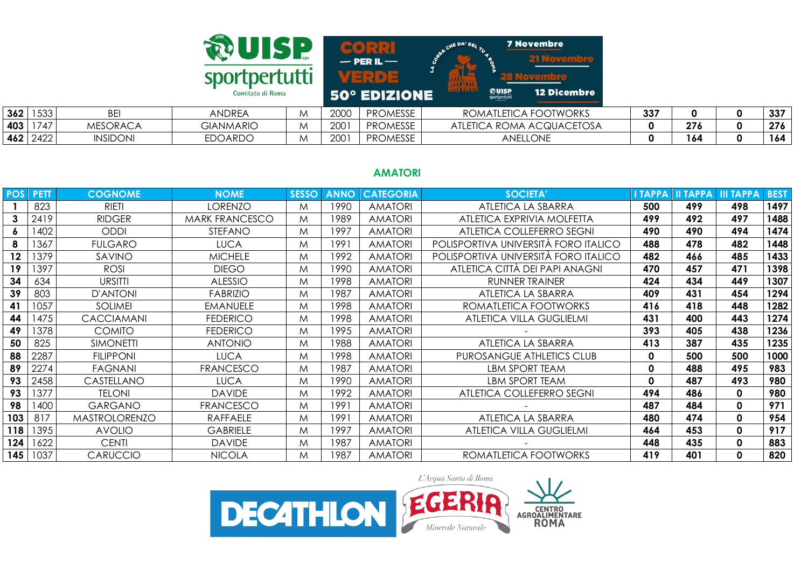

| 362 | l 533<br>. טטט | <b>BEI</b>      | ANDREA           | M | 2000 | <b>PROMESSE</b> | <b>FOOTWORKS</b><br><b>ROMATL</b><br>ATLETICA | 337 |     | 337 |
|-----|----------------|-----------------|------------------|---|------|-----------------|-----------------------------------------------|-----|-----|-----|
| 403 | 1 7 4 7        | <b>MESORACA</b> | <b>GIANMARIO</b> | M | 2001 | <b>PROMESSE</b> | ATLETICA ROMA ACQUACETOSA                     |     | 276 | 276 |
| 462 | 2422           | <b>INSIDONI</b> | <b>EDOARDC</b>   | M | 200  | <b>PROMESSE</b> | <b>ANELLONE</b>                               |     | 164 | 164 |

### **AMATORI**

| <b>POS</b> | <b>PETT</b> | <b>COGNOME</b>       | <b>NOME</b>           | <b>SESSO</b> | <b>ANNO</b> | <b>CATEGORIA</b> | <b>SOCIETA'</b>                      | <b>I TAPPA</b> | <b>II TAPPA</b> | <b>III TAPPA</b> | <b>BEST</b> |
|------------|-------------|----------------------|-----------------------|--------------|-------------|------------------|--------------------------------------|----------------|-----------------|------------------|-------------|
|            | 823         | <b>RIETI</b>         | <b>LORENZO</b>        | M            | 1990        | <b>AMATORI</b>   | ATLETICA LA SBARRA                   | 500            | 499             | 498              | 1497        |
| 3          | 2419        | <b>RIDGER</b>        | <b>MARK FRANCESCO</b> | M            | 1989        | <b>AMATORI</b>   | ATLETICA EXPRIVIA MOLFETTA           | 499            | 492             | 497              | 1488        |
| 6          | 1402        | <b>ODDI</b>          | <b>STEFANO</b>        | M            | 1997        | <b>AMATORI</b>   | ATLETICA COLLEFERRO SEGNI            | 490            | 490             | 494              | 1474        |
| 8          | 1367        | <b>FULGARO</b>       | <b>LUCA</b>           | M            | 1991        | <b>AMATORI</b>   | POLISPORTIVA UNIVERSITÀ FORO ITALICO | 488            | 478             | 482              | 1448        |
| 12         | 1379        | SAVINO               | <b>MICHELE</b>        | M            | 1992        | <b>AMATORI</b>   | POLISPORTIVA UNIVERSITÀ FORO ITALICO | 482            | 466             | 485              | 1433        |
| 19         | 1397        | ROSI                 | <b>DIEGO</b>          | M            | 1990        | <b>AMATORI</b>   | ATLETICA CITTÀ DEI PAPI ANAGNI       | 470            | 457             | 471              | 1398        |
| 34         | 634         | <b>URSITTI</b>       | <b>ALESSIO</b>        | M            | 1998        | <b>AMATORI</b>   | <b>RUNNER TRAINER</b>                | 424            | 434             | 449              | 1307        |
| 39         | 803         | <b>D'ANTONI</b>      | <b>FABRIZIO</b>       | M            | 1987        | <b>AMATORI</b>   | ATLETICA LA SBARRA                   | 409            | 431             | 454              | 1294        |
| 41         | 1057        | <b>SOLIMEI</b>       | <b>EMANUELE</b>       | M            | 1998        | <b>AMATORI</b>   | ROMATLETICA FOOTWORKS                | 416            | 418             | 448              | 1282        |
| 44         | 1475        | <b>CACCIAMANI</b>    | <b>FEDERICO</b>       | M            | 1998        | <b>AMATORI</b>   | <b>ATLETICA VILLA GUGLIELMI</b>      | 431            | 400             | 443              | 1274        |
| 49         | 1378        | <b>COMITO</b>        | <b>FEDERICO</b>       | M            | 1995        | <b>AMATORI</b>   |                                      | 393            | 405             | 438              | 1236        |
| 50         | 825         | <b>SIMONETTI</b>     | <b>ANTONIO</b>        | M            | 1988        | <b>AMATORI</b>   | ATLETICA LA SBARRA                   | 413            | 387             | 435              | 1235        |
| 88         | 2287        | <b>FILIPPONI</b>     | <b>LUCA</b>           | M            | 1998        | <b>AMATORI</b>   | <b>PUROSANGUE ATHLETICS CLUB</b>     | 0              | 500             | 500              | 1000        |
| 89         | 2274        | <b>FAGNANI</b>       | <b>FRANCESCO</b>      | M            | 1987        | <b>AMATORI</b>   | LBM SPORT TEAM                       | 0              | 488             | 495              | 983         |
| 93         | 2458        | CASTELLANO           | <b>LUCA</b>           | M            | 1990        | <b>AMATORI</b>   | LBM SPORT TEAM                       | 0              | 487             | 493              | 980         |
| 93         | 1377        | <b>TELONI</b>        | <b>DAVIDE</b>         | M            | 1992        | <b>AMATORI</b>   | ATLETICA COLLEFERRO SEGNI            | 494            | 486             | 0                | 980         |
| 98         | 1400        | <b>GARGANO</b>       | <b>FRANCESCO</b>      | M            | 1991        | <b>AMATORI</b>   |                                      | 487            | 484             | $\mathbf{0}$     | 971         |
| 103        | 817         | <b>MASTROLORENZO</b> | <b>RAFFAELE</b>       | M            | 1991        | <b>AMATORI</b>   | ATLETICA LA SBARRA                   | 480            | 474             | $\mathbf{0}$     | 954         |
| 118        | 1395        | <b>AVOLIO</b>        | <b>GABRIELE</b>       | M            | 1997        | <b>AMATORI</b>   | ATLETICA VILLA GUGLIELMI             | 464            | 453             | $\mathbf{0}$     | 917         |
| 124        | 1622        | <b>CENTI</b>         | <b>DAVIDE</b>         | M            | 1987        | <b>AMATORI</b>   |                                      | 448            | 435             | 0                | 883         |
| 145        | 1037        | CARUCCIO             | <b>NICOLA</b>         | M            | 1987        | <b>AMATORI</b>   | ROMATLETICA FOOTWORKS                | 419            | 401             | 0                | 820         |

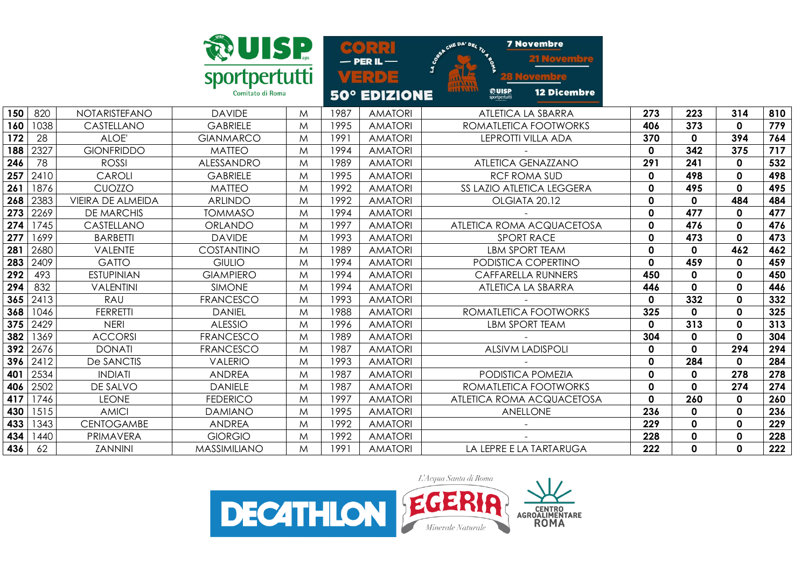|     |      |                          | <b>RUISP</b>        |   | $\infty$ | $-$ PER IL $-$      | <b>7 Novembre</b><br>CHE DA' DEL TU 4 BOS                    |             |             |              |     |
|-----|------|--------------------------|---------------------|---|----------|---------------------|--------------------------------------------------------------|-------------|-------------|--------------|-----|
|     |      |                          | sportpertutti       |   |          | VERDE               | <b>HALALL</b>                                                |             |             |              |     |
|     |      |                          | Comitato di Roma    |   |          | <b>50° EDIZIONE</b> | <b>HAAAM</b><br>@UISP<br><b>12 Dicembre</b><br>sportpertutti |             |             |              |     |
| 150 | 820  | NOTARISTEFANO            | <b>DAVIDE</b>       | M | 1987     | <b>AMATORI</b>      | <b>ATLETICA LA SBARRA</b>                                    | 273         | 223         | 314          | 810 |
| 160 | 1038 | CASTELLANO               | <b>GABRIELE</b>     | M | 1995     | <b>AMATORI</b>      | ROMATLETICA FOOTWORKS                                        | 406         | 373         | 0            | 779 |
| 172 | 28   | ALOE'                    | <b>GIANMARCO</b>    | M | 1991     | <b>AMATORI</b>      | LEPROTTI VILLA ADA                                           | 370         | $\mathbf 0$ | 394          | 764 |
| 188 | 2327 | <b>GIONFRIDDO</b>        | <b>MATTEO</b>       | M | 1994     | <b>AMATORI</b>      |                                                              | $\mathbf 0$ | 342         | 375          | 717 |
| 246 | 78   | <b>ROSSI</b>             | ALESSANDRO          | M | 1989     | <b>AMATORI</b>      | <b>ATLETICA GENAZZANO</b>                                    | 291         | 241         | 0            | 532 |
| 257 | 2410 | <b>CAROLI</b>            | <b>GABRIELE</b>     | M | 1995     | <b>AMATORI</b>      | <b>RCF ROMA SUD</b>                                          | $\mathbf 0$ | 498         | 0            | 498 |
| 261 | 1876 | CUOZZO                   | <b>MATTEO</b>       | M | 1992     | <b>AMATORI</b>      | SS LAZIO ATLETICA LEGGERA                                    | $\mathbf 0$ | 495         | 0            | 495 |
| 268 | 2383 | <b>VIEIRA DE ALMEIDA</b> | <b>ARLINDO</b>      | M | 1992     | <b>AMATORI</b>      | OLGIATA 20.12                                                | $\mathbf 0$ | $\mathbf 0$ | 484          | 484 |
| 273 | 2269 | <b>DE MARCHIS</b>        | <b>TOMMASO</b>      | M | 1994     | <b>AMATORI</b>      |                                                              | $\mathbf 0$ | 477         | $\mathbf{0}$ | 477 |
| 274 | 1745 | CASTELLANO               | ORLANDO             | M | 1997     | <b>AMATORI</b>      | ATLETICA ROMA ACQUACETOSA                                    | $\mathbf 0$ | 476         | $\mathbf 0$  | 476 |
| 277 | 1699 | <b>BARBETTI</b>          | <b>DAVIDE</b>       | M | 1993     | <b>AMATORI</b>      | <b>SPORT RACE</b>                                            | $\mathbf 0$ | 473         | $\mathbf{0}$ | 473 |
| 281 | 2680 | VALENTE                  | COSTANTINO          | M | 1989     | <b>AMATORI</b>      | LBM SPORT TEAM                                               | 0           | $\mathbf 0$ | 462          | 462 |
| 283 | 2409 | <b>GATTO</b>             | <b>GIULIO</b>       | M | 1994     | <b>AMATORI</b>      | PODISTICA COPERTINO                                          | $\mathbf 0$ | 459         | 0            | 459 |
| 292 | 493  | <b>ESTUPINIAN</b>        | <b>GIAMPIERO</b>    | M | 1994     | <b>AMATORI</b>      | <b>CAFFARELLA RUNNERS</b>                                    | 450         | $\mathbf 0$ | 0            | 450 |
| 294 | 832  | <b>VALENTINI</b>         | <b>SIMONE</b>       | M | 1994     | <b>AMATORI</b>      | <b>ATLETICA LA SBARRA</b>                                    | 446         | $\mathbf 0$ | 0            | 446 |
| 365 | 2413 | RAU                      | <b>FRANCESCO</b>    | M | 1993     | <b>AMATORI</b>      |                                                              | $\mathbf 0$ | 332         | $\mathbf 0$  | 332 |
| 368 | 1046 | <b>FERRETTI</b>          | <b>DANIEL</b>       | M | 1988     | <b>AMATORI</b>      | ROMATLETICA FOOTWORKS                                        | 325         | $\mathbf 0$ | $\mathbf 0$  | 325 |
| 375 | 2429 | <b>NERI</b>              | <b>ALESSIO</b>      | M | 1996     | <b>AMATORI</b>      | <b>LBM SPORT TEAM</b>                                        | 0           | 313         | 0            | 313 |
| 382 | 1369 | <b>ACCORSI</b>           | <b>FRANCESCO</b>    | M | 1989     | <b>AMATORI</b>      |                                                              | 304         | $\mathbf 0$ | $\mathbf 0$  | 304 |
| 392 | 2676 | <b>DONATI</b>            | <b>FRANCESCO</b>    | M | 1987     | <b>AMATORI</b>      | <b>ALSIVM LADISPOLI</b>                                      | 0           | $\mathbf 0$ | 294          | 294 |
| 396 | 2412 | <b>De SANCTIS</b>        | <b>VALERIO</b>      | M | 1993     | <b>AMATORI</b>      |                                                              | 0           | 284         | 0            | 284 |
| 401 | 2534 | <b>INDIATI</b>           | <b>ANDREA</b>       | M | 1987     | <b>AMATORI</b>      | PODISTICA POMEZIA                                            | $\mathbf 0$ | $\mathbf 0$ | 278          | 278 |
| 406 | 2502 | DE SALVO                 | <b>DANIELE</b>      | M | 1987     | <b>AMATORI</b>      | ROMATLETICA FOOTWORKS                                        | $\mathbf 0$ | $\mathbf 0$ | 274          | 274 |
| 417 | 1746 | <b>LEONE</b>             | <b>FEDERICO</b>     | M | 1997     | <b>AMATORI</b>      | ATLETICA ROMA ACQUACETOSA                                    | $\mathbf 0$ | 260         | 0            | 260 |
| 430 | 1515 | <b>AMICI</b>             | <b>DAMIANO</b>      | M | 1995     | <b>AMATORI</b>      | ANELLONE                                                     | 236         | 0           | 0            | 236 |
| 433 | 1343 | <b>CENTOGAMBE</b>        | <b>ANDREA</b>       | M | 1992     | <b>AMATORI</b>      |                                                              | 229         | $\mathbf 0$ | $\mathbf{0}$ | 229 |
| 434 | 1440 | PRIMAVERA                | <b>GIORGIO</b>      | M | 1992     | <b>AMATORI</b>      |                                                              | 228         | $\mathbf 0$ | 0            | 228 |
| 436 | 62   | <b>ZANNINI</b>           | <b>MASSIMILIANO</b> | M | 1991     | <b>AMATORI</b>      | LA LEPRE E LA TARTARUGA                                      | 222         | $\mathbf 0$ | $\mathbf{0}$ | 222 |

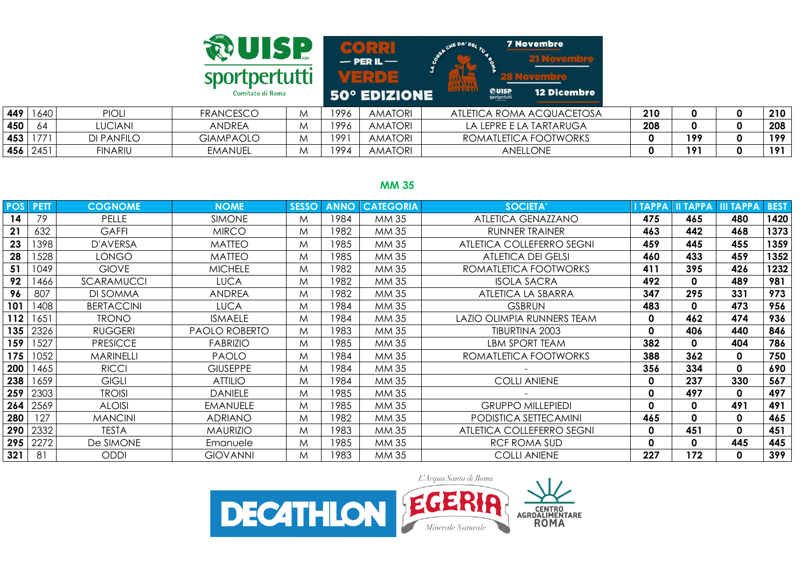|     |          |                   | sportpertutti<br>Comitato di Roma |   |      | $-$ PER IL $-$<br><b>50° EDIZIONE</b> | DA' DE,<br><b>HALAIL</b><br>118231 | <b>RUISP</b><br>sportpertutti | <b>7 Novembre</b><br>21 Novembre<br><b>12 Dicembre</b> |     |     |   |     |
|-----|----------|-------------------|-----------------------------------|---|------|---------------------------------------|------------------------------------|-------------------------------|--------------------------------------------------------|-----|-----|---|-----|
| 449 | 1640     | <b>PIOLI</b>      | <b>FRANCESCO</b>                  | M | 1996 | <b>AMATORI</b>                        |                                    |                               | ATLETICA ROMA ACQUACETOSA                              | 210 | 0   | 0 | 210 |
| 450 | -64      | <b>LUCIANI</b>    | <b>ANDREA</b>                     | M | 1996 | <b>AMATORI</b>                        |                                    |                               | LA LEPRE E LA TARTARUGA                                | 208 | 0   | 0 | 208 |
| 453 | 1771     | <b>DI PANFILO</b> | <b>GIAMPAOLO</b>                  | M | 1991 | <b>AMATORI</b>                        |                                    |                               | ROMATLETICA FOOTWORKS                                  | 0   | 199 | 0 | 199 |
|     | 456 2451 | <b>FINARIU</b>    | <b>EMANUEL</b>                    | M | 1994 | <b>AMATORI</b>                        |                                    |                               | ANELLONE                                               |     | 191 | 0 | 191 |

| <b>POS</b> | <b>PETT</b> | <b>COGNOME</b>    | <b>NOME</b>          | <b>SESSO</b> | <b>ANNO</b> | <b>CATEGORIA</b> | <b>SOCIETA'</b>            | I TAPPA      |              | <b>II TAPPA III TAPPA</b> | <b>BEST</b> |
|------------|-------------|-------------------|----------------------|--------------|-------------|------------------|----------------------------|--------------|--------------|---------------------------|-------------|
| 14         | 79          | PELLE             | <b>SIMONE</b>        | M            | 1984        | MM 35            | ATLETICA GENAZZANO         | 475          | 465          | 480                       | 1420        |
| 21         | 632         | <b>GAFFI</b>      | <b>MIRCO</b>         | M            | 1982        | MM 35            | <b>RUNNER TRAINER</b>      | 463          | 442          | 468                       | 1373        |
| 23         | 1398        | D'AVERSA          | <b>MATTEO</b>        | M            | 1985        | MM 35            | ATLETICA COLLEFERRO SEGNI  | 459          | 445          | 455                       | 1359        |
| 28         | 1528        | <b>LONGO</b>      | <b>MATTEO</b>        | M            | 1985        | MM 35            | <b>ATLETICA DEI GELSI</b>  | 460          | 433          | 459                       | 1352        |
| 51         | 1049        | <b>GIOVE</b>      | <b>MICHELE</b>       | M            | 1982        | MM 35            | ROMATLETICA FOOTWORKS      | 411          | 395          | 426                       | 1232        |
| 92         | 1466        | <b>SCARAMUCCI</b> | <b>LUCA</b>          | M            | 1982        | MM 35            | <b>ISOLA SACRA</b>         | 492          | $\mathbf 0$  | 489                       | 981         |
| 96         | 807         | DI SOMMA          | <b>ANDREA</b>        | M            | 1982        | MM 35            | ATLETICA LA SBARRA         | 347          | 295          | 331                       | 973         |
| 101        | 1408        | <b>BERTACCINI</b> | <b>LUCA</b>          | M            | 1984        | MM 35            | <b>GSBRUN</b>              | 483          | $\mathbf 0$  | 473                       | 956         |
| 112        | 1651        | <b>TRONO</b>      | <b>ISMAELE</b>       | M            | 1984        | MM 35            | LAZIO OLIMPIA RUNNERS TEAM | 0            | 462          | 474                       | 936         |
| 135        | 2326        | <b>RUGGERI</b>    | <b>PAOLO ROBERTO</b> | M            | 1983        | MM 35            | TIBURTINA 2003             | $\mathbf 0$  | 406          | 440                       | 846         |
| 159        | 1527        | <b>PRESICCE</b>   | <b>FABRIZIO</b>      | M            | 1985        | MM 35            | LBM SPORT TEAM             | 382          | 0            | 404                       | 786         |
| 175        | 1052        | <b>MARINELLI</b>  | <b>PAOLO</b>         | M            | 1984        | MM 35            | ROMATLETICA FOOTWORKS      | 388          | 362          | 0                         | 750         |
| 200        | 1465        | <b>RICCI</b>      | <b>GIUSEPPE</b>      | M            | 1984        | MM 35            |                            | 356          | 334          | $\mathbf{0}$              | 690         |
| 238        | 1659        | <b>GIGLI</b>      | <b>ATTILIO</b>       | M            | 1984        | MM 35            | <b>COLLI ANIENE</b>        | 0            | 237          | 330                       | 567         |
| 259        | 2303        | <b>TROISI</b>     | <b>DANIELE</b>       | M            | 1985        | MM 35            |                            | 0            | 497          | 0                         | 497         |
| 264        | 2569        | <b>ALOISI</b>     | <b>EMANUELE</b>      | M            | 1985        | MM 35            | <b>GRUPPO MILLEPIEDI</b>   | $\mathbf 0$  | $\mathbf 0$  | 491                       | 491         |
| 280        | 127         | <b>MANCINI</b>    | <b>ADRIANO</b>       | M            | 1982        | MM 35            | PODISTICA SETTECAMINI      | 465          | $\mathbf{0}$ | 0                         | 465         |
| 290        | 2332        | <b>TESTA</b>      | <b>MAURIZIO</b>      | M            | 1983        | MM 35            | ATLETICA COLLEFERRO SEGNI  | 0            | 451          | 0                         | 451         |
| 295        | 2272        | De SIMONE         | Emanuele             | M            | 1985        | MM 35            | RCF ROMA SUD               | $\mathbf{0}$ | $\mathbf{0}$ | 445                       | 445         |
| 321        | 81          | <b>ODDI</b>       | <b>GIOVANNI</b>      | M            | 1983        | MM 35            | <b>COLLI ANIENE</b>        | 227          | 172          | 0                         | 399         |

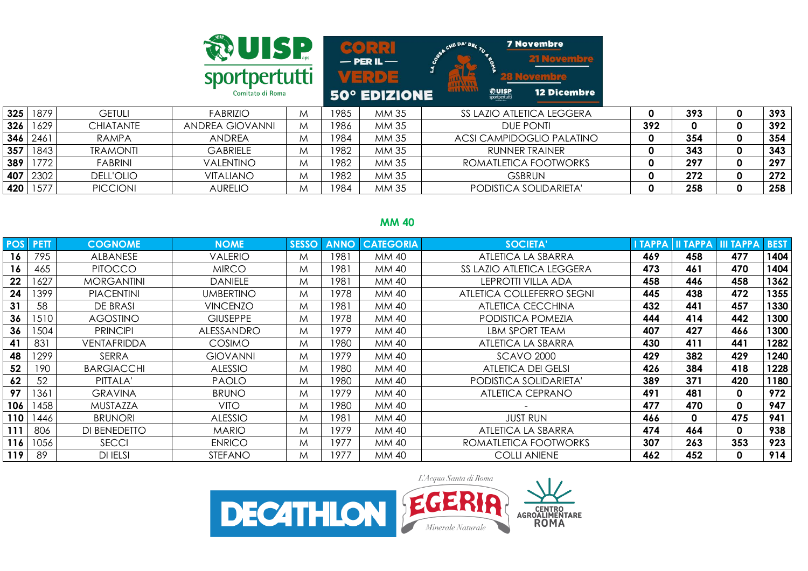|     |      |                  | sportpertutti<br>Comitato di Roma |   |      | $-$ PER IL $-$<br><b>50° EDIZIONE</b> | $E$ DA' D <sub>E</sub><br>TLA<br>11A/11<br><b>HAAA</b> | $\frac{1}{\frac{1}{2}}$ <b>UISP</b> | <b>7 Novembre</b><br><b>21 Novembre</b><br>12 Dicembre |     |     |   |     |
|-----|------|------------------|-----------------------------------|---|------|---------------------------------------|--------------------------------------------------------|-------------------------------------|--------------------------------------------------------|-----|-----|---|-----|
| 325 | 1879 | <b>GETULI</b>    | <b>FABRIZIO</b>                   | M | 1985 | MM 35                                 |                                                        |                                     | SS LAZIO ATLETICA LEGGERA                              | 0   | 393 | 0 | 393 |
| 326 | 1629 | <b>CHIATANTE</b> | <b>ANDREA GIOVANNI</b>            | M | 1986 | MM 35                                 |                                                        |                                     | DUE PONTI                                              | 392 |     | 0 | 392 |
|     |      |                  |                                   |   |      |                                       |                                                        |                                     |                                                        |     |     |   |     |

| ا 326 | 1629       | <b>CHIATANTE</b> | ANDREA GIOVANNI  | M | 1986 | MM 35 | DUE PONTI                 | 392 |     | 392 |
|-------|------------|------------------|------------------|---|------|-------|---------------------------|-----|-----|-----|
|       | 346   2461 | RAMPA            | ANDREA           | M | 1984 | MM 35 | ACSI CAMPIDOGLIO PALATINO |     | 354 | 354 |
| 357   | 1843       | <b>TRAMONTI</b>  | GABRIELE         | M | 1982 | MM 35 | RUNNER TRAINER            |     | 343 | 343 |
| 389   |            | FABRINI          | VALENTINO        | M | 1982 | MM 35 | ROMATLETICA FOOTWORKS     |     | 297 | 297 |
| 407   | 2302       | DELL'OLIO        | <b>VITALIANO</b> | M | 982  | MM 35 | GSBRUN                    |     | 272 | 272 |
| 420   | 1577       | <b>PICCIONI</b>  | AURELIO          | M | 1984 | MM 35 | PODISTICA SOLIDARIETA'    |     | 258 | 258 |

| <b>POS</b> | <b>PETT</b> | <b>COGNOME</b>     | <b>NOME</b>     | <b>SESSO</b> | <b>ANNO</b> | <b>CATEGORIA</b> | <b>SOCIETA'</b>           | <b>I TAPPA</b> | <b>II TAPPA</b> | <b>II TAPPA</b> | <b>BEST</b> |
|------------|-------------|--------------------|-----------------|--------------|-------------|------------------|---------------------------|----------------|-----------------|-----------------|-------------|
| 16         | 795         | ALBANESE           | <b>VALERIO</b>  | M            | 1981        | MM 40            | ATLETICA LA SBARRA        | 469            | 458             | 477             | 1404        |
| 16         | 465         | <b>PITOCCO</b>     | <b>MIRCO</b>    | M            | 1981        | MM 40            | SS LAZIO ATLETICA LEGGERA | 473            | 461             | 470             | 1404        |
| 22         | 1627        | <b>MORGANTINI</b>  | <b>DANIELE</b>  | M            | 1981        | MM 40            | LEPROTTI VILLA ADA        | 458            | 446             | 458             | 1362        |
| 24         | 1399        | <b>PIACENTINI</b>  | UMBERTINO       | M            | 1978        | MM 40            | ATLETICA COLLEFERRO SEGNI | 445            | 438             | 472             | 1355        |
| 31         | 58          | DE BRASI           | <b>VINCENZO</b> | M            | 1981        | MM 40            | <b>ATLETICA CECCHINA</b>  | 432            | 441             | 457             | 1330        |
| 36         | 510         | <b>AGOSTINO</b>    | <b>GIUSEPPE</b> | M            | 1978        | MM 40            | PODISTICA POMEZIA         | 444            | 414             | 442             | 1300        |
| 36         | 504         | <b>PRINCIPI</b>    | ALESSANDRO      | M            | 1979        | MM 40            | LBM SPORT TEAM            | 407            | 427             | 466             | 1300        |
| 41         | 831         | <b>VENTAFRIDDA</b> | COSIMO          | M            | 1980        | MM 40            | ATLETICA LA SBARRA        | 430            | 411             | 441             | 1282        |
| 48         | 1299        | <b>SERRA</b>       | <b>GIOVANNI</b> | M            | 1979        | MM 40            | <b>SCAVO 2000</b>         | 429            | 382             | 429             | 1240        |
| 52         | 190         | <b>BARGIACCHI</b>  | <b>ALESSIO</b>  | M            | 1980        | MM 40            | ATLETICA DEI GELSI        | 426            | 384             | 418             | 1228        |
| 62         | 52          | PITTALA'           | <b>PAOLO</b>    | M            | 1980        | MM 40            | PODISTICA SOLIDARIETA'    | 389            | 371             | 420             | 1180        |
| 97         | 1361        | <b>GRAVINA</b>     | <b>BRUNO</b>    | M            | 1979        | MM 40            | ATLETICA CEPRANO          | 491            | 481             | $\mathbf 0$     | 972         |
| 106        | 458         | <b>MUSTAZZA</b>    | <b>VITO</b>     | M            | 1980        | MM 40            |                           | 477            | 470             | 0               | 947         |
| 110        | 446         | <b>BRUNORI</b>     | <b>ALESSIO</b>  | M            | 1981        | MM 40            | <b>JUST RUN</b>           | 466            | $\mathbf{0}$    | 475             | 941         |
| 111        | 806         | DI BENEDETTO       | <b>MARIO</b>    | M            | 1979        | MM 40            | ATLETICA LA SBARRA        | 474            | 464             | $\mathbf{0}$    | 938         |
| 116        | 1056        | <b>SECCI</b>       | <b>ENRICO</b>   | M            | 1977        | MM 40            | ROMATLETICA FOOTWORKS     | 307            | 263             | 353             | 923         |
| 119        | 89          | <b>DI IELSI</b>    | <b>STEFANO</b>  | M            | 1977        | MM 40            | <b>COLLI ANIENE</b>       | 462            | 452             | $\mathbf{0}$    | 914         |

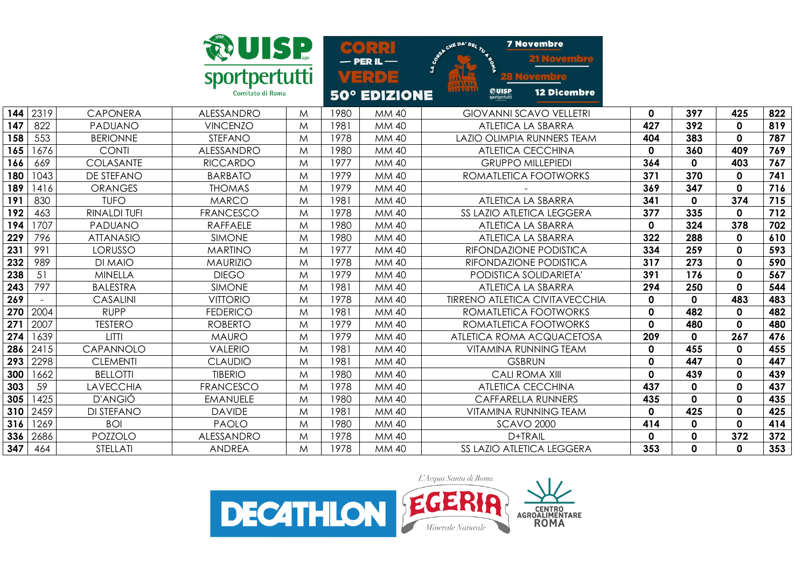|     |      |                     | <b>RUISP</b>     |                                   | $\alpha$ $\alpha$ $\alpha$ | R <sub>1</sub>                                 | CHE DA' DEL TU 4 BOS                                      | <b>7 Novembre</b>                     |             |             |             |     |
|-----|------|---------------------|------------------|-----------------------------------|----------------------------|------------------------------------------------|-----------------------------------------------------------|---------------------------------------|-------------|-------------|-------------|-----|
|     |      |                     |                  | sportpertutti<br>Comitato di Roma |                            | $-$ PER IL $-$<br>VERDE<br><b>50° EDIZIONE</b> | <b>HALAIL</b><br>1141111<br><b>@UISP</b><br>sportpertutti | <b>12 Dicembre</b>                    |             |             |             |     |
| 144 | 2319 | <b>CAPONERA</b>     | ALESSANDRO       | M                                 | 1980                       | MM 40                                          |                                                           | <b>GIOVANNI SCAVO VELLETRI</b>        | $\mathbf 0$ | 397         | 425         | 822 |
| 147 | 822  | <b>PADUANO</b>      | <b>VINCENZO</b>  | M                                 | 1981                       | MM 40                                          |                                                           | <b>ATLETICA LA SBARRA</b>             | 427         | 392         | 0           | 819 |
| 158 | 553  | <b>BERIONNE</b>     | <b>STEFANO</b>   | M                                 | 1978                       | <b>MM 40</b>                                   |                                                           | LAZIO OLIMPIA RUNNERS TEAM            | 404         | 383         | $\mathbf 0$ | 787 |
| 165 | 1676 | <b>CONTI</b>        | ALESSANDRO       | M                                 | 1980                       | MM 40                                          |                                                           | <b>ATLETICA CECCHINA</b>              | $\mathbf 0$ | 360         | 409         | 769 |
| 166 | 669  | COLASANTE           | <b>RICCARDO</b>  | M                                 | 1977                       | MM 40                                          |                                                           | <b>GRUPPO MILLEPIEDI</b>              | 364         | $\mathbf 0$ | 403         | 767 |
| 180 | 1043 | <b>DE STEFANO</b>   | <b>BARBATO</b>   | M                                 | 1979                       | MM 40                                          |                                                           | ROMATLETICA FOOTWORKS                 | 371         | 370         | $\mathbf 0$ | 741 |
| 189 | 1416 | <b>ORANGES</b>      | <b>THOMAS</b>    | M                                 | 1979                       | <b>MM 40</b>                                   |                                                           |                                       | 369         | 347         | $\mathbf 0$ | 716 |
| 191 | 830  | <b>TUFO</b>         | <b>MARCO</b>     | M                                 | 1981                       | MM 40                                          |                                                           | ATLETICA LA SBARRA                    | 341         | $\mathbf 0$ | 374         | 715 |
| 192 | 463  | <b>RINALDI TUFI</b> | <b>FRANCESCO</b> | M                                 | 1978                       | MM 40                                          |                                                           | SS LAZIO ATLETICA LEGGERA             | 377         | 335         | $\mathbf 0$ | 712 |
| 194 | 1707 | <b>PADUANO</b>      | <b>RAFFAELE</b>  | M                                 | 1980                       | MM 40                                          |                                                           | <b>ATLETICA LA SBARRA</b>             | $\mathbf 0$ | 324         | 378         | 702 |
| 229 | 796  | <b>ATTANASIO</b>    | <b>SIMONE</b>    | M                                 | 1980                       | MM 40                                          |                                                           | <b>ATLETICA LA SBARRA</b>             | 322         | 288         | $\mathbf 0$ | 610 |
| 231 | 991  | LORUSSO             | <b>MARTINO</b>   | M                                 | 1977                       | MM 40                                          |                                                           | RIFONDAZIONE PODISTICA                | 334         | 259         | $\mathbf 0$ | 593 |
| 232 | 989  | <b>DI MAIO</b>      | <b>MAURIZIO</b>  | M                                 | 1978                       | MM 40                                          |                                                           | RIFONDAZIONE PODISTICA                | 317         | 273         | $\mathbf 0$ | 590 |
| 238 | 51   | <b>MINELLA</b>      | <b>DIEGO</b>     | M                                 | 1979                       | MM 40                                          |                                                           | PODISTICA SOLIDARIETA'                | 391         | 176         | $\mathbf 0$ | 567 |
| 243 | 797  | <b>BALESTRA</b>     | <b>SIMONE</b>    | M                                 | 1981                       | MM 40                                          |                                                           | <b>ATLETICA LA SBARRA</b>             | 294         | 250         | $\mathbf 0$ | 544 |
| 269 |      | <b>CASALINI</b>     | <b>VITTORIO</b>  | M                                 | 1978                       | MM 40                                          |                                                           | <b>TIRRENO ATLETICA CIVITAVECCHIA</b> | $\mathbf 0$ | $\mathbf 0$ | 483         | 483 |
| 270 | 2004 | <b>RUPP</b>         | <b>FEDERICO</b>  | M                                 | 1981                       | MM 40                                          |                                                           | ROMATLETICA FOOTWORKS                 | $\mathbf 0$ | 482         | $\mathbf 0$ | 482 |
| 271 | 2007 | <b>TESTERO</b>      | <b>ROBERTO</b>   | M                                 | 1979                       | MM 40                                          |                                                           | ROMATLETICA FOOTWORKS                 | $\mathbf 0$ | 480         | $\mathbf 0$ | 480 |
| 274 | 1639 | LITTI               | <b>MAURO</b>     | M                                 | 1979                       | MM 40                                          |                                                           | ATLETICA ROMA ACQUACETOSA             | 209         | $\mathbf 0$ | 267         | 476 |
| 286 | 2415 | CAPANNOLO           | <b>VALERIO</b>   | M                                 | 1981                       | MM 40                                          |                                                           | <b>VITAMINA RUNNING TEAM</b>          | $\mathbf 0$ | 455         | $\mathbf 0$ | 455 |
| 293 | 2298 | <b>CLEMENTI</b>     | <b>CLAUDIO</b>   | M                                 | 1981                       | MM 40                                          |                                                           | <b>GSBRUN</b>                         | $\mathbf 0$ | 447         | $\mathbf 0$ | 447 |
| 300 | 1662 | <b>BELLOTTI</b>     | <b>TIBERIO</b>   | M                                 | 1980                       | MM 40                                          |                                                           | <b>CALI ROMA XIII</b>                 | $\mathbf 0$ | 439         | $\mathbf 0$ | 439 |
| 303 | 59   | <b>LAVECCHIA</b>    | <b>FRANCESCO</b> | M                                 | 1978                       | MM 40                                          |                                                           | <b>ATLETICA CECCHINA</b>              | 437         | $\mathbf 0$ | 0           | 437 |
| 305 | 1425 | D'ANGIÓ             | <b>EMANUELE</b>  | M                                 | 1980                       | MM 40                                          |                                                           | <b>CAFFARELLA RUNNERS</b>             | 435         | $\mathbf 0$ | $\mathbf 0$ | 435 |
| 310 | 2459 | <b>DI STEFANO</b>   | <b>DAVIDE</b>    | M                                 | 1981                       | MM 40                                          |                                                           | <b>VITAMINA RUNNING TEAM</b>          | $\mathbf 0$ | 425         | $\mathbf 0$ | 425 |
| 316 | 1269 | BOI                 | <b>PAOLO</b>     | M                                 | 1980                       | MM 40                                          |                                                           | <b>SCAVO 2000</b>                     | 414         | $\mathbf 0$ | $\mathbf 0$ | 414 |
| 336 | 2686 | POZZOLO             | ALESSANDRO       | M                                 | 1978                       | MM 40                                          |                                                           | D+TRAIL                               | 0           | $\mathbf 0$ | 372         | 372 |
| 347 | 464  | STELLATI            | <b>ANDREA</b>    | M                                 | 1978                       | MM 40                                          |                                                           | SS LAZIO ATLETICA LEGGERA             | 353         | 0           | 0           | 353 |

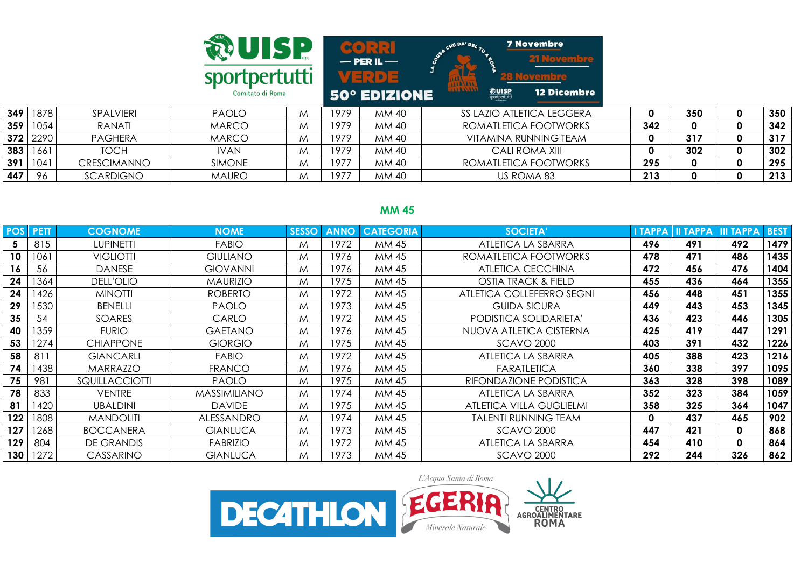|     |          |                    | sportpertutti<br>Comitato di Roma |   |       | $\left[ 3 \right]$<br>$-$ PER IL $-$<br>$V = (0,1)$<br><b>50° EDIZIONE</b> | HE DA' DEL<br><b>HALALL</b><br>$\frac{1}{\frac{1}{2}}$ <b>COULSP</b> | <b>7 Novembre</b><br><b>21 Novembre</b><br><b>12 Dicembre</b> |     |             |             |     |
|-----|----------|--------------------|-----------------------------------|---|-------|----------------------------------------------------------------------------|----------------------------------------------------------------------|---------------------------------------------------------------|-----|-------------|-------------|-----|
| 349 | 1878     | SPALVIERI          | <b>PAOLO</b>                      | M | 1979. | MM 40                                                                      |                                                                      | SS LAZIO ATLETICA LEGGERA                                     | 0   | 350         | $\mathbf 0$ | 350 |
| 359 | 1054     | RANATI             | <b>MARCO</b>                      | M | 1979  | MM 40                                                                      |                                                                      | ROMATLETICA FOOTWORKS                                         | 342 | 0           | 0           | 342 |
|     | 372 2290 | <b>PAGHERA</b>     | <b>MARCO</b>                      | M | 1979. | MM 40                                                                      |                                                                      | VITAMINA RUNNING TEAM                                         | 0   | 317         | $\mathbf 0$ | 317 |
| 383 | 1661     | <b>TOCH</b>        | <b>IVAN</b>                       | M | 1979  | MM 40                                                                      |                                                                      | CALI ROMA XIII                                                | 0   | 302         | $\mathbf 0$ | 302 |
| 391 | 1041     | <b>CRESCIMANNO</b> | <b>SIMONE</b>                     | M | 1977  | MM 40                                                                      |                                                                      | ROMATLETICA FOOTWORKS                                         | 295 | $\mathbf 0$ | 0           | 295 |
| 447 | 96       | <b>SCARDIGNO</b>   | <b>MAURO</b>                      | М | 1977  | MM 40                                                                      |                                                                      | US ROMA 83                                                    | 213 | 0           | 0           | 213 |

| <b>POS</b> | <b>PETT</b> | <b>COGNOME</b>   | <b>NOME</b>         | <b>SESSO</b> | <b>ANNO</b> | <b>CATEGORIA</b> | <b>SOCIETA</b>                  | <b>TAPPA</b> | <b>II TAPPA</b> | <b>III TAPPA</b> | <b>BEST</b> |
|------------|-------------|------------------|---------------------|--------------|-------------|------------------|---------------------------------|--------------|-----------------|------------------|-------------|
| 5.         | 815         | <b>LUPINETTI</b> | <b>FABIO</b>        | M            | 1972        | MM 45            | ATLETICA LA SBARRA              | 496          | 491             | 492              | 1479        |
| 10         | 1061        | <b>VIGLIOTTI</b> | <b>GIULIANO</b>     | M            | 1976        | MM 45            | ROMATLETICA FOOTWORKS           | 478          | 471             | 486              | 1435        |
| 16         | 56          | <b>DANESE</b>    | <b>GIOVANNI</b>     | M            | 1976        | MM 45            | ATLETICA CECCHINA               | 472          | 456             | 476              | 1404        |
| 24         | 1364        | DELL'OLIO        | <b>MAURIZIO</b>     | M            | 1975        | MM 45            | OSTIA TRACK & FIELD             | 455          | 436             | 464              | 1355        |
| 24         | 1426        | <b>MINOTTI</b>   | <b>ROBERTO</b>      | M            | 1972        | MM 45            | ATLETICA COLLEFERRO SEGNI       | 456          | 448             | 451              | 1355        |
| 29         | 1530        | <b>BENELLI</b>   | <b>PAOLO</b>        | M            | 1973        | MM 45            | <b>GUIDA SICURA</b>             | 449          | 443             | 453              | 1345        |
| 35         | 54          | SOARES           | CARLO               | M            | 1972        | MM 45            | PODISTICA SOLIDARIETA'          | 436          | 423             | 446              | 1305        |
| 40         | 1359        | <b>FURIO</b>     | <b>GAETANO</b>      | M            | 1976        | MM 45            | NUOVA ATLETICA CISTERNA         | 425          | 419             | 447              | 1291        |
| 53         | 1274        | <b>CHIAPPONE</b> | GIORGIO             | M            | 1975        | MM 45            | <b>SCAVO 2000</b>               | 403          | 391             | 432              | 1226        |
| 58         | 811         | <b>GIANCARLI</b> | <b>FABIO</b>        | M            | 1972        | MM 45            | ATLETICA LA SBARRA              | 405          | 388             | 423              | 1216        |
| 74         | 1438        | <b>MARRAZZO</b>  | <b>FRANCO</b>       | M            | 1976        | MM 45            | <b>FARATLETICA</b>              | 360          | 338             | 397              | 1095        |
| 75         | 981         | SQUILLACCIOTTI   | <b>PAOLO</b>        | M            | 1975        | MM 45            | RIFONDAZIONE PODISTICA          | 363          | 328             | 398              | 1089        |
| 78         | 833         | <b>VENTRE</b>    | <b>MASSIMILIANO</b> | M            | 1974        | MM 45            | ATLETICA LA SBARRA              | 352          | 323             | 384              | 1059        |
| 81         | 1420        | <b>UBALDINI</b>  | <b>DAVIDE</b>       | M            | 1975        | MM 45            | <b>ATLETICA VILLA GUGLIELMI</b> | 358          | 325             | 364              | 1047        |
| 122        | 1808        | <b>MANDOLITI</b> | ALESSANDRO          | M            | 1974        | MM 45            | <b>TALENTI RUNNING TEAM</b>     | 0            | 437             | 465              | 902         |
| 127        | 1268        | <b>BOCCANERA</b> | <b>GIANLUCA</b>     | M            | 1973        | MM 45            | <b>SCAVO 2000</b>               | 447          | 421             | $\mathbf{0}$     | 868         |
| 129        | 804         | DE GRANDIS       | <b>FABRIZIO</b>     | M            | 1972        | MM 45            | ATLETICA LA SBARRA              | 454          | 410             | $\mathbf{0}$     | 864         |
| 130        | 1272        | CASSARINO        | <b>GIANLUCA</b>     | M            | 1973        | MM 45            | <b>SCAVO 2000</b>               | 292          | 244             | 326              | 862         |

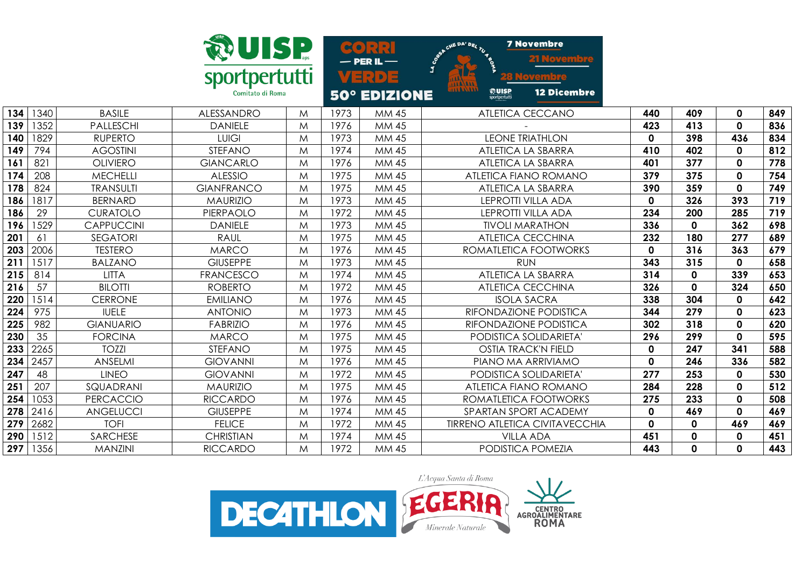| sportpertutti<br>Comitato di Roma |
|-----------------------------------|

A CHE DAY DEL 70 **7 Novembre**  $\infty$   $\bullet$  ) **Novembre**  $-$  PER IL  $\tilde{f}$ **TERDE** <u>Novembre</u>  $118/111$ 84.44 **ROUISP**<br>sportpertutti **12 Dicembre** 50° EDIZIONE

| 134 | 1340 | <b>BASILE</b>     | ALESSANDRO        | M | 1973 | MM 45        | ATLETICA CECCANO                      | 440 | 409         | $\mathbf 0$  | 849 |
|-----|------|-------------------|-------------------|---|------|--------------|---------------------------------------|-----|-------------|--------------|-----|
| 139 | 1352 | <b>PALLESCHI</b>  | <b>DANIELE</b>    | M | 1976 | <b>MM45</b>  |                                       | 423 | 413         | $\mathbf 0$  | 836 |
| 140 | 1829 | <b>RUPERTO</b>    | <b>LUIGI</b>      | M | 1973 | <b>MM45</b>  | <b>LEONE TRIATHLON</b>                | 0   | 398         | 436          | 834 |
| 149 | 794  | <b>AGOSTINI</b>   | <b>STEFANO</b>    | M | 1974 | MM 45        | ATLETICA LA SBARRA                    | 410 | 402         | $\mathbf 0$  | 812 |
| 161 | 821  | <b>OLIVIERO</b>   | <b>GIANCARLO</b>  | M | 1976 | <b>MM45</b>  | ATLETICA LA SBARRA                    | 401 | 377         | $\mathbf 0$  | 778 |
| 174 | 208  | <b>MECHELLI</b>   | <b>ALESSIO</b>    | M | 1975 | <b>MM45</b>  | ATLETICA FIANO ROMANO                 | 379 | 375         | $\mathbf 0$  | 754 |
| 178 | 824  | <b>TRANSULTI</b>  | <b>GIANFRANCO</b> | M | 1975 | <b>MM45</b>  | ATLETICA LA SBARRA                    | 390 | 359         | $\mathbf 0$  | 749 |
| 186 | 1817 | <b>BERNARD</b>    | <b>MAURIZIO</b>   | M | 1973 | <b>MM45</b>  | LEPROTTI VILLA ADA                    | 0   | 326         | 393          | 719 |
| 186 | 29   | <b>CURATOLO</b>   | PIERPAOLO         | M | 1972 | <b>MM45</b>  | <b>LEPROTTI VILLA ADA</b>             | 234 | 200         | 285          | 719 |
| 196 | 1529 | <b>CAPPUCCINI</b> | <b>DANIELE</b>    | M | 1973 | <b>MM45</b>  | <b>TIVOLI MARATHON</b>                | 336 | $\mathbf 0$ | 362          | 698 |
| 201 | 61   | <b>SEGATORI</b>   | <b>RAUL</b>       | M | 1975 | MM 45        | <b>ATLETICA CECCHINA</b>              | 232 | 180         | 277          | 689 |
| 203 | 2006 | <b>TESTERO</b>    | <b>MARCO</b>      | M | 1976 | <b>MM45</b>  | ROMATLETICA FOOTWORKS                 | 0   | 316         | 363          | 679 |
| 211 | 1517 | <b>BALZANO</b>    | <b>GIUSEPPE</b>   | M | 1973 | <b>MM45</b>  | <b>RUN</b>                            | 343 | 315         | $\mathbf{0}$ | 658 |
| 215 | 814  | <b>LITTA</b>      | <b>FRANCESCO</b>  | M | 1974 | MM 45        | ATLETICA LA SBARRA                    | 314 | 0           | 339          | 653 |
| 216 | 57   | <b>BILOTTI</b>    | <b>ROBERTO</b>    | M | 1972 | <b>MM45</b>  | <b>ATLETICA CECCHINA</b>              | 326 | $\mathbf 0$ | 324          | 650 |
| 220 | 1514 | <b>CERRONE</b>    | <b>EMILIANO</b>   | M | 1976 | <b>MM45</b>  | <b>ISOLA SACRA</b>                    | 338 | 304         | $\mathbf 0$  | 642 |
| 224 | 975  | <b>IUELE</b>      | <b>ANTONIO</b>    | M | 1973 | MM 45        | RIFONDAZIONE PODISTICA                | 344 | 279         | $\mathbf 0$  | 623 |
| 225 | 982  | <b>GIANUARIO</b>  | <b>FABRIZIO</b>   | M | 1976 | <b>MM45</b>  | RIFONDAZIONE PODISTICA                | 302 | 318         | $\mathbf 0$  | 620 |
| 230 | 35   | <b>FORCINA</b>    | <b>MARCO</b>      | M | 1975 | MM 45        | PODISTICA SOLIDARIETA'                | 296 | 299         | $\mathbf 0$  | 595 |
| 233 | 2265 | <b>TOZZI</b>      | <b>STEFANO</b>    | M | 1975 | MM 45        | <b>OSTIA TRACK'N FIELD</b>            | 0   | 247         | 341          | 588 |
| 234 | 2457 | ANSELMI           | <b>GIOVANNI</b>   | M | 1976 | <b>MM45</b>  | PIANO MA ARRIVIAMO                    | 0   | 246         | 336          | 582 |
| 247 | 48   | <b>LINEO</b>      | <b>GIOVANNI</b>   | M | 1972 | <b>MM45</b>  | PODISTICA SOLIDARIETA'                | 277 | 253         | $\mathbf 0$  | 530 |
| 251 | 207  | SQUADRANI         | <b>MAURIZIO</b>   | M | 1975 | MM 45        | ATLETICA FIANO ROMANO                 | 284 | 228         | $\mathbf{0}$ | 512 |
| 254 | 1053 | <b>PERCACCIO</b>  | <b>RICCARDO</b>   | M | 1976 | MM 45        | ROMATLETICA FOOTWORKS                 | 275 | 233         | $\mathbf 0$  | 508 |
| 278 | 2416 | ANGELUCCI         | <b>GIUSEPPE</b>   | M | 1974 | MM 45        | SPARTAN SPORT ACADEMY                 | 0   | 469         | $\mathbf 0$  | 469 |
| 279 | 2682 | <b>TOFI</b>       | <b>FELICE</b>     | M | 1972 | <b>MM45</b>  | <b>TIRRENO ATLETICA CIVITAVECCHIA</b> | 0   | $\mathbf 0$ | 469          | 469 |
| 290 | 1512 | SARCHESE          | <b>CHRISTIAN</b>  | M | 1974 | MM 45        | <b>VILLA ADA</b>                      | 451 | $\mathbf 0$ | 0            | 451 |
| 297 | 1356 | <b>MANZINI</b>    | <b>RICCARDO</b>   | M | 1972 | <b>MM 45</b> | PODISTICA POMEZIA                     | 443 | $\mathbf 0$ | $\mathbf{0}$ | 443 |

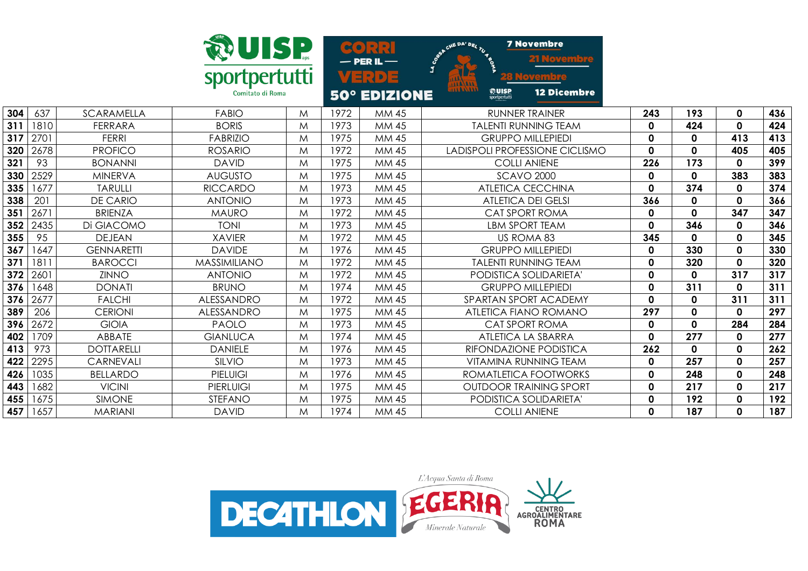|     |      | <b>WOISP</b><br>sportpertutti<br>Comitato di Roma |                     |   |      | 60.22<br>$-$ PER IL $-$<br>VERDE<br><b>50° EDIZIONE</b> | <b>7 Novembre</b><br>CHE DA' DEL TU SON<br>Z.<br>118/816<br>1141111<br><b>RUISP</b><br><b>12 Dicembre</b><br>sportpertutti |             |              |              |     |
|-----|------|---------------------------------------------------|---------------------|---|------|---------------------------------------------------------|----------------------------------------------------------------------------------------------------------------------------|-------------|--------------|--------------|-----|
| 304 | 637  | <b>SCARAMELLA</b>                                 | <b>FABIO</b>        | M | 1972 | MM 45                                                   | <b>RUNNER TRAINER</b>                                                                                                      | 243         | 193          | $\mathbf 0$  | 436 |
| 311 | 1810 | <b>FERRARA</b>                                    | <b>BORIS</b>        | M | 1973 | MM 45                                                   | <b>TALENTI RUNNING TEAM</b>                                                                                                | $\mathbf 0$ | 424          | $\mathbf{0}$ | 424 |
| 317 | 2701 | <b>FERRI</b>                                      | <b>FABRIZIO</b>     | M | 1975 | MM 45                                                   | <b>GRUPPO MILLEPIEDI</b>                                                                                                   | 0           | $\mathbf 0$  | 413          | 413 |
| 320 | 2678 | <b>PROFICO</b>                                    | <b>ROSARIO</b>      | M | 1972 | MM 45                                                   | LADISPOLI PROFESSIONE CICLISMO                                                                                             | 0           | $\mathbf 0$  | 405          | 405 |
| 321 | 93   | <b>BONANNI</b>                                    | <b>DAVID</b>        | M | 1975 | MM 45                                                   | <b>COLLI ANIENE</b>                                                                                                        | 226         | 173          | 0            | 399 |
| 330 | 2529 | <b>MINERVA</b>                                    | <b>AUGUSTO</b>      | M | 1975 | MM 45                                                   | <b>SCAVO 2000</b>                                                                                                          | 0           | $\mathbf 0$  | 383          | 383 |
| 335 | 1677 | <b>TARULLI</b>                                    | <b>RICCARDO</b>     | M | 1973 | MM 45                                                   | <b>ATLETICA CECCHINA</b>                                                                                                   | $\mathbf 0$ | 374          | 0            | 374 |
| 338 | 201  | <b>DE CARIO</b>                                   | <b>ANTONIO</b>      | M | 1973 | MM 45                                                   | <b>ATLETICA DEI GELSI</b>                                                                                                  | 366         | $\mathbf 0$  | 0            | 366 |
| 351 | 2671 | <b>BRIENZA</b>                                    | <b>MAURO</b>        | M | 1972 | <b>MM45</b>                                             | CAT SPORT ROMA                                                                                                             | $\mathbf 0$ | $\mathbf 0$  | 347          | 347 |
| 352 | 2435 | Di GIACOMO                                        | <b>TONI</b>         | M | 1973 | MM 45                                                   | <b>LBM SPORT TEAM</b>                                                                                                      | $\mathbf 0$ | 346          | 0            | 346 |
| 355 | 95   | <b>DEJEAN</b>                                     | <b>XAVIER</b>       | M | 1972 | MM 45                                                   | US ROMA 83                                                                                                                 | 345         | $\mathbf{0}$ | $\mathbf 0$  | 345 |
| 367 | 1647 | <b>GENNARETTI</b>                                 | <b>DAVIDE</b>       | M | 1976 | MM 45                                                   | <b>GRUPPO MILLEPIEDI</b>                                                                                                   | $\mathbf 0$ | 330          | 0            | 330 |
| 371 | 1811 | <b>BAROCCI</b>                                    | <b>MASSIMILIANO</b> | M | 1972 | MM 45                                                   | <b>TALENTI RUNNING TEAM</b>                                                                                                | $\mathbf 0$ | 320          | $\mathbf 0$  | 320 |
| 372 | 2601 | <b>ZINNO</b>                                      | <b>ANTONIO</b>      | M | 1972 | MM 45                                                   | PODISTICA SOLIDARIETA'                                                                                                     | $\mathbf 0$ | $\mathbf 0$  | 317          | 317 |
| 376 | 1648 | <b>DONATI</b>                                     | <b>BRUNO</b>        | M | 1974 | MM 45                                                   | <b>GRUPPO MILLEPIEDI</b>                                                                                                   | $\mathbf 0$ | 311          | $\mathbf 0$  | 311 |
| 376 | 2677 | <b>FALCHI</b>                                     | ALESSANDRO          | M | 1972 | <b>MM 45</b>                                            | SPARTAN SPORT ACADEMY                                                                                                      | $\mathbf 0$ | $\mathbf 0$  | 311          | 311 |
| 389 | 206  | <b>CERIONI</b>                                    | ALESSANDRO          | M | 1975 | MM 45                                                   | ATLETICA FIANO ROMANO                                                                                                      | 297         | $\mathbf 0$  | 0            | 297 |
| 396 | 2672 | <b>GIOIA</b>                                      | <b>PAOLO</b>        | M | 1973 | <b>MM45</b>                                             | CAT SPORT ROMA                                                                                                             | $\mathbf 0$ | $\mathbf 0$  | 284          | 284 |
| 402 | 1709 | ABBATE                                            | <b>GIANLUCA</b>     | M | 1974 | MM 45                                                   | ATLETICA LA SBARRA                                                                                                         | $\Omega$    | 277          | 0            | 277 |
| 413 | 973  | <b>DOTTARELLI</b>                                 | <b>DANIELE</b>      | M | 1976 | MM 45                                                   | RIFONDAZIONE PODISTICA                                                                                                     | 262         | $\mathbf 0$  | 0            | 262 |
| 422 | 2295 | CARNEVALI                                         | SILVIO              | M | 1973 | MM 45                                                   | <b>VITAMINA RUNNING TEAM</b>                                                                                               | $\mathbf 0$ | 257          | $\mathbf 0$  | 257 |
| 426 | 1035 | <b>BELLARDO</b>                                   | <b>PIELUIGI</b>     | M | 1976 | MM 45                                                   | ROMATLETICA FOOTWORKS                                                                                                      | $\mathbf 0$ | 248          | $\mathbf 0$  | 248 |
| 443 | 1682 | <b>VICINI</b>                                     | <b>PIERLUIGI</b>    | M | 1975 | MM 45                                                   | <b>OUTDOOR TRAINING SPORT</b>                                                                                              | 0           | 217          | 0            | 217 |
| 455 | 1675 | <b>SIMONE</b>                                     | <b>STEFANO</b>      | M | 1975 | MM 45                                                   | PODISTICA SOLIDARIETA'                                                                                                     | $\mathbf 0$ | 192          | 0            | 192 |
| 457 | 1657 | <b>MARIANI</b>                                    | <b>DAVID</b>        | M | 1974 | MM 45                                                   | <b>COLLI ANIENE</b>                                                                                                        | $\mathbf 0$ | 187          | 0            | 187 |

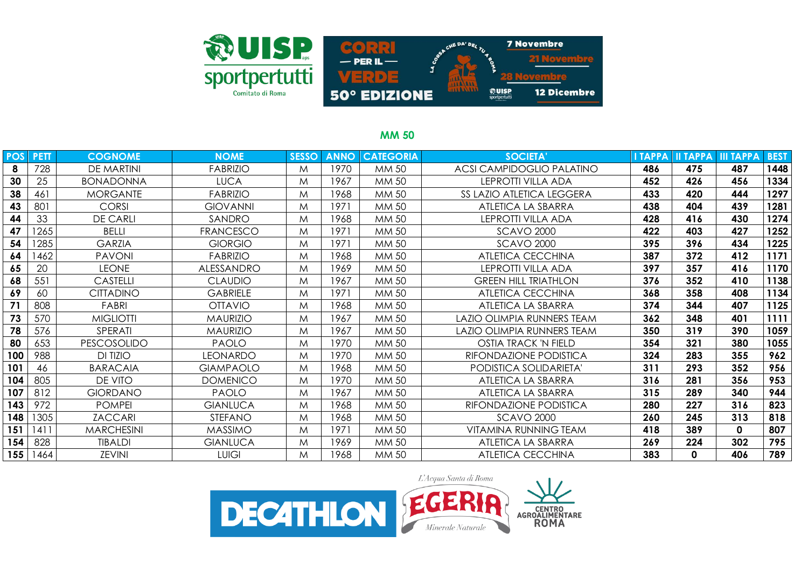

| <b>POS</b> | <b>PETT</b> | <b>COGNOME</b>     | <b>NOME</b>      | <b>SESSO</b> | <b>ANNO</b> | <b>CATEGORIA</b> | <b>SOCIETA</b>               | <b>TAPPA</b> | <b>II TAPPA</b> | <b>III TAPPA</b> | <b>BEST</b> |
|------------|-------------|--------------------|------------------|--------------|-------------|------------------|------------------------------|--------------|-----------------|------------------|-------------|
| 8          | 728         | DE MARTINI         | <b>FABRIZIO</b>  | M            | 1970        | MM 50            | ACSI CAMPIDOGLIO PALATINO    | 486          | 475             | 487              | 1448        |
| 30         | 25          | <b>BONADONNA</b>   | <b>LUCA</b>      | M            | 1967        | MM 50            | leprotti villa ada           | 452          | 426             | 456              | 1334        |
| 38         | 461         | <b>MORGANTE</b>    | <b>FABRIZIO</b>  | M            | 1968        | MM 50            | SS LAZIO ATLETICA LEGGERA    | 433          | 420             | 444              | 1297        |
| 43         | 801         | <b>CORSI</b>       | <b>GIOVANNI</b>  | M            | 1971        | MM 50            | ATLETICA LA SBARRA           | 438          | 404             | 439              | 1281        |
| 44         | 33          | <b>DE CARLI</b>    | SANDRO           | M            | 1968        | MM 50            | leprotti villa ada           | 428          | 416             | 430              | 1274        |
| 47         | 1265        | <b>BELLI</b>       | <b>FRANCESCO</b> | M            | 1971        | MM 50            | <b>SCAVO 2000</b>            | 422          | 403             | 427              | 1252        |
| 54         | 1285        | <b>GARZIA</b>      | <b>GIORGIO</b>   | M            | 1971        | MM 50            | <b>SCAVO 2000</b>            | 395          | 396             | 434              | 1225        |
| 64         | 1462        | <b>PAVONI</b>      | <b>FABRIZIO</b>  | M            | 1968        | MM 50            | <b>ATLETICA CECCHINA</b>     | 387          | 372             | 412              | 1171        |
| 65         | 20          | <b>LEONE</b>       | ALESSANDRO       | M            | 1969        | MM 50            | LEPROTTI VILLA ADA           | 397          | 357             | 416              | 1170        |
| 68         | 551         | <b>CASTELLI</b>    | <b>CLAUDIO</b>   | M            | 1967        | MM 50            | <b>GREEN HILL TRIATHLON</b>  | 376          | 352             | 410              | 1138        |
| 69         | 60          | <b>CITTADINO</b>   | <b>GABRIELE</b>  | M            | 1971        | MM 50            | ATLETICA CECCHINA            | 368          | 358             | 408              | 1134        |
| 71         | 808         | <b>FABRI</b>       | <b>OTTAVIO</b>   | M            | 1968        | MM 50            | ATLETICA LA SBARRA           | 374          | 344             | 407              | 1125        |
| 73         | 570         | <b>MIGLIOTTI</b>   | <b>MAURIZIO</b>  | M            | 1967        | MM 50            | LAZIO OLIMPIA RUNNERS TEAM   | 362          | 348             | 401              | 1111        |
| 78         | 576         | SPERATI            | <b>MAURIZIO</b>  | M            | 1967        | MM 50            | LAZIO OLIMPIA RUNNERS TEAM   | 350          | 319             | 390              | 1059        |
| 80         | 653         | <b>PESCOSOLIDO</b> | <b>PAOLO</b>     | M            | 1970        | MM 50            | OSTIA TRACK 'N FIELD         | 354          | 321             | 380              | 1055        |
| 100        | 988         | <b>DI TIZIO</b>    | <b>LEONARDO</b>  | M            | 1970        | MM 50            | RIFONDAZIONE PODISTICA       | 324          | 283             | 355              | 962         |
| 101        | 46          | <b>BARACAIA</b>    | <b>GIAMPAOLO</b> | M            | 1968        | MM 50            | PODISTICA SOLIDARIETA'       | 311          | 293             | 352              | 956         |
| 104        | 805         | DE VITO            | <b>DOMENICO</b>  | M            | 1970        | MM 50            | <b>ATLETICA LA SBARRA</b>    | 316          | 281             | 356              | 953         |
| 107        | 812         | <b>GIORDANO</b>    | <b>PAOLO</b>     | M            | 1967        | MM 50            | <b>ATLETICA LA SBARRA</b>    | 315          | 289             | 340              | 944         |
| 143        | 972         | <b>POMPEI</b>      | <b>GIANLUCA</b>  | M            | 1968        | MM 50            | RIFONDAZIONE PODISTICA       | 280          | 227             | 316              | 823         |
| 148        | 1305        | <b>ZACCARI</b>     | <b>STEFANO</b>   | M            | 1968        | MM 50            | <b>SCAVO 2000</b>            | 260          | 245             | 313              | 818         |
| 151        | 1411        | <b>MARCHESINI</b>  | <b>MASSIMO</b>   | M            | 1971        | MM 50            | <b>VITAMINA RUNNING TEAM</b> | 418          | 389             | $\mathbf{0}$     | 807         |
| 154        | 828         | <b>TIBALDI</b>     | <b>GIANLUCA</b>  | M            | 1969        | MM 50            | ATLETICA LA SBARRA           | 269          | 224             | 302              | 795         |
| 155        | 1464        | <b>ZEVINI</b>      | <b>LUIGI</b>     | M            | 1968        | MM 50            | <b>ATLETICA CECCHINA</b>     | 383          | 0               | 406              | 789         |

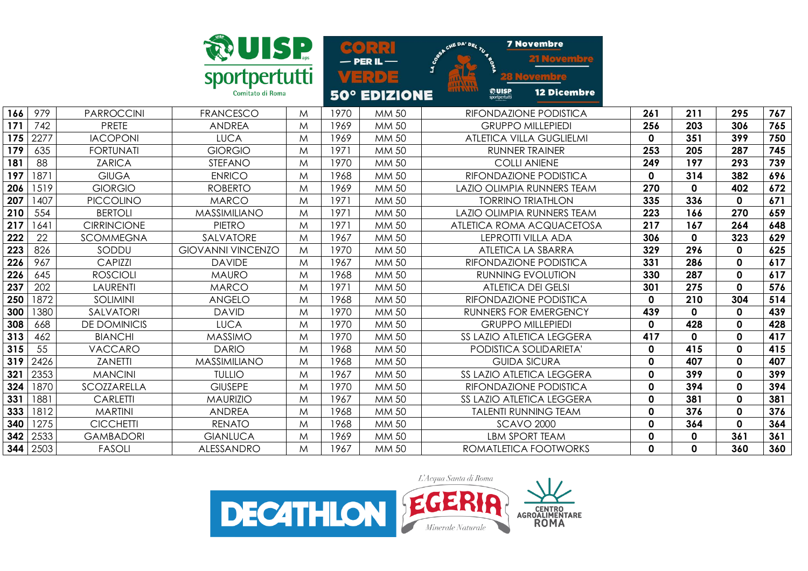|     |            |                     | <b>WANGP</b>                      |   |      | $\left[ \begin{array}{c} \mathbf{A} \\ \mathbf{B} \end{array} \right]$<br>$-$ PER IL $-$ | CHE DA' DEL TU 4 BOS                                     |                        | <b>7 Novembre</b>           |     |     |              |     |
|-----|------------|---------------------|-----------------------------------|---|------|------------------------------------------------------------------------------------------|----------------------------------------------------------|------------------------|-----------------------------|-----|-----|--------------|-----|
|     |            |                     | sportpertutti<br>Comitato di Roma |   |      | VERDE<br><b>50° EDIZIONE</b>                                                             | $\overline{\mathbf{z}}$<br><b>HALALL</b><br><b>UAMAN</b> | @UISP<br>sportpertutti | <b>12 Dicembre</b>          |     |     |              |     |
| 166 | 979        | <b>PARROCCINI</b>   | <b>FRANCESCO</b>                  | M | 1970 | MM 50                                                                                    |                                                          |                        | RIFONDAZIONE PODISTICA      | 261 | 211 | 295          | 767 |
| 171 | 742        | <b>PRETE</b>        | <b>ANDREA</b>                     | M | 1969 | MM 50                                                                                    |                                                          |                        | <b>GRUPPO MILLEPIEDI</b>    | 256 | 203 | 306          | 765 |
| 175 | 2277       | <b>IACOPONI</b>     | <b>LUCA</b>                       | M | 1969 | MM 50                                                                                    |                                                          |                        | ATLETICA VILLA GUGLIELMI    | 0   | 351 | 399          | 750 |
| 179 | 635        | <b>FORTUNATI</b>    | <b>GIORGIO</b>                    | M | 1971 | MM 50                                                                                    |                                                          |                        | <b>RUNNER TRAINER</b>       | 253 | 205 | 287          | 745 |
| 181 | 88         | <b>ZARICA</b>       | <b>STEFANO</b>                    | M | 1970 | MM 50                                                                                    |                                                          |                        | <b>COLLI ANIENE</b>         | 249 | 197 | 293          | 739 |
| 197 | 1871       | <b>GIUGA</b>        | <b>ENRICO</b>                     | M | 1968 | MM 50                                                                                    |                                                          |                        | RIFONDAZIONE PODISTICA      | 0   | 314 | 382          | 696 |
| 206 | 1519       | <b>GIORGIO</b>      | <b>ROBERTO</b>                    | M | 1969 | MM 50                                                                                    |                                                          |                        | LAZIO OLIMPIA RUNNERS TEAM  | 270 | 0   | 402          | 672 |
| 207 | 1407       | <b>PICCOLINO</b>    | <b>MARCO</b>                      | M | 1971 | MM 50                                                                                    |                                                          |                        | <b>TORRINO TRIATHLON</b>    | 335 | 336 | $\mathbf 0$  | 671 |
| 210 | 554        | <b>BERTOLI</b>      | MASSIMILIANO                      | M | 1971 | MM 50                                                                                    |                                                          |                        | LAZIO OLIMPIA RUNNERS TEAM  | 223 | 166 | 270          | 659 |
| 217 | 1641       | <b>CIRRINCIONE</b>  | <b>PIETRO</b>                     | M | 1971 | MM 50                                                                                    |                                                          |                        | ATLETICA ROMA ACQUACETOSA   | 217 | 167 | 264          | 648 |
| 222 | 22         | <b>SCOMMEGNA</b>    | SALVATORE                         | M | 1967 | MM 50                                                                                    |                                                          |                        | <b>LEPROTTI VILLA ADA</b>   | 306 | 0   | 323          | 629 |
| 223 | 826        | SODDU               | <b>GIOVANNI VINCENZO</b>          | M | 1970 | MM 50                                                                                    |                                                          |                        | <b>ATLETICA LA SBARRA</b>   | 329 | 296 | $\mathbf 0$  | 625 |
| 226 | 967        | CAPIZZI             | <b>DAVIDE</b>                     | M | 1967 | MM 50                                                                                    |                                                          |                        | RIFONDAZIONE PODISTICA      | 331 | 286 | $\mathbf 0$  | 617 |
| 226 | 645        | <b>ROSCIOLI</b>     | <b>MAURO</b>                      | M | 1968 | MM 50                                                                                    |                                                          |                        | <b>RUNNING EVOLUTION</b>    | 330 | 287 | $\mathbf 0$  | 617 |
| 237 | 202        | LAURENTI            | <b>MARCO</b>                      | M | 1971 | MM 50                                                                                    |                                                          |                        | <b>ATLETICA DEI GELSI</b>   | 301 | 275 | $\mathbf 0$  | 576 |
| 250 | 1872       | <b>SOLIMINI</b>     | <b>ANGELO</b>                     | M | 1968 | MM 50                                                                                    |                                                          |                        | RIFONDAZIONE PODISTICA      | 0   | 210 | 304          | 514 |
| 300 | 1380       | <b>SALVATORI</b>    | <b>DAVID</b>                      | M | 1970 | MM 50                                                                                    |                                                          |                        | RUNNERS FOR EMERGENCY       | 439 | 0   | $\mathbf 0$  | 439 |
| 308 | 668        | <b>DE DOMINICIS</b> | <b>LUCA</b>                       | M | 1970 | MM 50                                                                                    |                                                          |                        | <b>GRUPPO MILLEPIEDI</b>    | 0   | 428 | $\mathbf 0$  | 428 |
| 313 | 462        | <b>BIANCHI</b>      | <b>MASSIMO</b>                    | M | 1970 | MM 50                                                                                    |                                                          |                        | SS LAZIO ATLETICA LEGGERA   | 417 | 0   | $\mathbf 0$  | 417 |
| 315 | 55         | <b>VACCARO</b>      | <b>DARIO</b>                      | M | 1968 | MM 50                                                                                    |                                                          |                        | PODISTICA SOLIDARIETA'      | 0   | 415 | $\mathbf{0}$ | 415 |
| 319 | 2426       | <b>ZANETTI</b>      | MASSIMILIANO                      | M | 1968 | MM 50                                                                                    |                                                          |                        | <b>GUIDA SICURA</b>         | 0   | 407 | $\mathbf 0$  | 407 |
| 321 | 2353       | <b>MANCINI</b>      | <b>TULLIO</b>                     | M | 1967 | MM 50                                                                                    |                                                          |                        | SS LAZIO ATLETICA LEGGERA   | 0   | 399 | $\mathbf 0$  | 399 |
| 324 | 1870       | SCOZZARELLA         | <b>GIUSEPE</b>                    | M | 1970 | MM 50                                                                                    |                                                          |                        | RIFONDAZIONE PODISTICA      | 0   | 394 | $\mathbf 0$  | 394 |
| 331 | 1881       | CARLETTI            | <b>MAURIZIO</b>                   | M | 1967 | MM 50                                                                                    |                                                          |                        | SS LAZIO ATLETICA LEGGERA   | 0   | 381 | $\mathbf 0$  | 381 |
| 333 | 1812       | <b>MARTINI</b>      | <b>ANDREA</b>                     | M | 1968 | MM 50                                                                                    |                                                          |                        | <b>TALENTI RUNNING TEAM</b> | 0   | 376 | $\mathbf 0$  | 376 |
| 340 | 1275       | <b>CICCHETTI</b>    | <b>RENATO</b>                     | M | 1968 | MM 50                                                                                    |                                                          |                        | <b>SCAVO 2000</b>           | 0   | 364 | $\mathbf 0$  | 364 |
| 342 | 2533       | <b>GAMBADORI</b>    | <b>GIANLUCA</b>                   | M | 1969 | MM 50                                                                                    |                                                          |                        | <b>LBM SPORT TEAM</b>       | 0   | 0   | 361          | 361 |
|     | 344   2503 | <b>FASOLI</b>       | ALESSANDRO                        | M | 1967 | MM 50                                                                                    |                                                          |                        | ROMATLETICA FOOTWORKS       | 0   | 0   | 360          | 360 |

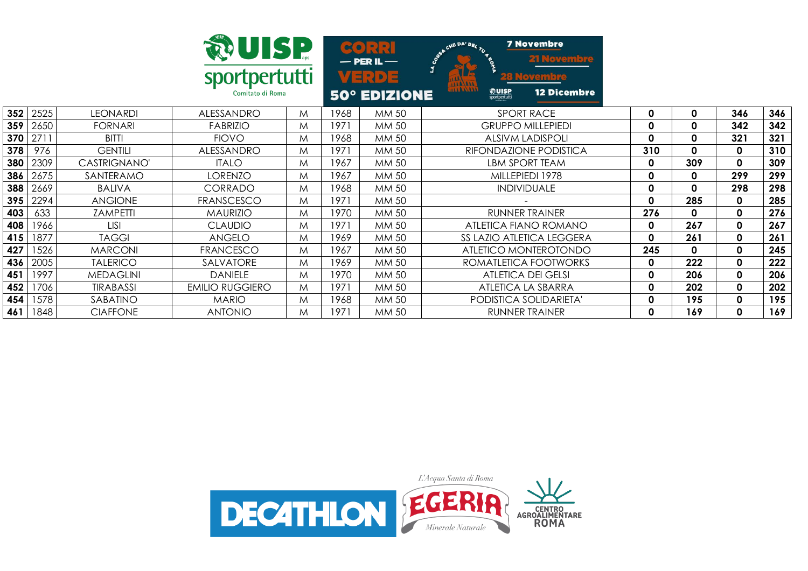|     | <b>RUISP</b><br>sportpertutti<br>Comitato di Roma |                  |                        |   |      | <b>7 Novembre</b><br>CHE DA' DEL TU<br>$\bullet$ : : : : 1<br><b>21 Novembre</b><br>$-$ PER IL $-$<br><b>AUST</b><br>VERDE<br><b>HAALAA</b><br>111834844<br><b>@UISP</b><br><b>12 Dicembre</b><br><b>50° EDIZIONE</b><br>sportpertutti<br>1968<br><b>SPORT RACE</b><br>MM 50 |                         |                           |             |             |             |     |
|-----|---------------------------------------------------|------------------|------------------------|---|------|------------------------------------------------------------------------------------------------------------------------------------------------------------------------------------------------------------------------------------------------------------------------------|-------------------------|---------------------------|-------------|-------------|-------------|-----|
| 352 | 2525                                              | <b>LEONARDI</b>  | ALESSANDRO             | M |      |                                                                                                                                                                                                                                                                              |                         |                           | 0           | $\mathbf 0$ | 346         | 346 |
| 359 | 2650                                              | <b>FORNARI</b>   | <b>FABRIZIO</b>        | M | 1971 | MM 50                                                                                                                                                                                                                                                                        |                         | <b>GRUPPO MILLEPIEDI</b>  | 0           | 0           | 342         | 342 |
| 370 | 2711                                              | <b>BITTI</b>     | <b>FIOVO</b>           | M | 1968 | MM 50                                                                                                                                                                                                                                                                        | <b>ALSIVM LADISPOLI</b> |                           | 0           | 0           | 321         | 321 |
| 378 | 976                                               | <b>GENTILI</b>   | ALESSANDRO             | M | 1971 | MM 50<br>RIFONDAZIONE PODISTICA                                                                                                                                                                                                                                              |                         | 310                       | $\mathbf 0$ | 0           | 310         |     |
| 380 | 2309                                              | CASTRIGNANO'     | <b>ITALO</b>           | M | 1967 | MM 50                                                                                                                                                                                                                                                                        |                         | <b>LBM SPORT TEAM</b>     | 0           | 309         | $\mathbf 0$ | 309 |
| 386 | 2675                                              | SANTERAMO        | <b>LORENZO</b>         | M | 1967 | MM 50                                                                                                                                                                                                                                                                        | MILLEPIEDI 1978         |                           | 0           | 0           | 299         | 299 |
| 388 | 2669                                              | <b>BALIVA</b>    | CORRADO                | M | 1968 | <b>INDIVIDUALE</b><br>MM 50                                                                                                                                                                                                                                                  |                         | 0                         | 0           | 298         | 298         |     |
| 395 | 2294                                              | <b>ANGIONE</b>   | <b>FRANSCESCO</b>      | M | 1971 | MM 50                                                                                                                                                                                                                                                                        |                         |                           | 0           | 285         | 0           | 285 |
| 403 | 633                                               | <b>ZAMPETTI</b>  | <b>MAURIZIO</b>        | M | 1970 | MM 50                                                                                                                                                                                                                                                                        |                         | <b>RUNNER TRAINER</b>     | 276         | 0           | 0           | 276 |
| 408 | 1966                                              | <b>LISI</b>      | <b>CLAUDIO</b>         | M | 1971 | MM 50                                                                                                                                                                                                                                                                        |                         | ATLETICA FIANO ROMANO     | 0           | 267         | $\mathbf 0$ | 267 |
| 415 | 1877                                              | <b>TAGGI</b>     | <b>ANGELO</b>          | M | 1969 | MM 50                                                                                                                                                                                                                                                                        |                         | SS LAZIO ATLETICA LEGGERA | 0           | 261         | $\mathbf 0$ | 261 |
| 427 | 1526                                              | <b>MARCONI</b>   | <b>FRANCESCO</b>       | M | 1967 | MM 50                                                                                                                                                                                                                                                                        |                         | ATLETICO MONTEROTONDO     | 245         | $\mathbf 0$ | 0           | 245 |
| 436 | 2005                                              | <b>TALERICO</b>  | SALVATORE              | M | 1969 | MM 50                                                                                                                                                                                                                                                                        |                         | ROMATLETICA FOOTWORKS     | 0           | 222         | 0           | 222 |
| 451 | 1997                                              | <b>MEDAGLINI</b> | <b>DANIELE</b>         | M | 1970 | MM 50                                                                                                                                                                                                                                                                        |                         | ATLETICA DEI GELSI        | 0           | 206         | 0           | 206 |
| 452 | 1706                                              | TIRABASSI        | <b>EMILIO RUGGIERO</b> | M | 1971 | MM 50                                                                                                                                                                                                                                                                        | ATLETICA LA SBARRA      |                           | 0           | 202         | 0           | 202 |
| 454 | 1578                                              | SABATINO         | <b>MARIO</b>           | M | 1968 | MM 50                                                                                                                                                                                                                                                                        |                         | PODISTICA SOLIDARIETA'    | 0           | 195         | $\mathbf 0$ | 195 |
| 461 | 1848                                              | <b>CIAFFONE</b>  | <b>ANTONIO</b>         | M | 1971 | MM 50                                                                                                                                                                                                                                                                        |                         | <b>RUNNER TRAINER</b>     | 0           | 169         | 0           | 169 |

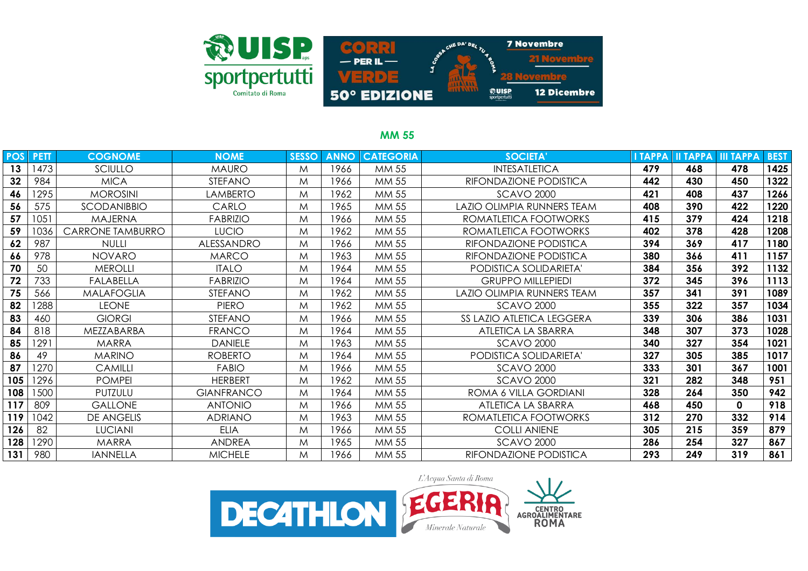

| <b>POS</b> | <b>PETT</b> | <b>COGNOME</b>          | <b>NOME</b>       | <b>SESSO</b> | <b>ANNO</b> | <b>CATEGORIA</b> | <b>SOCIETA</b>             | <b>TAPPA</b> | <b>II TAPPA</b> | <b>III TAPPA</b> | <b>BEST</b> |
|------------|-------------|-------------------------|-------------------|--------------|-------------|------------------|----------------------------|--------------|-----------------|------------------|-------------|
| 13         | 1473        | SCIULLO                 | <b>MAURO</b>      | M            | 1966        | MM 55            | <b>INTESATLETICA</b>       | 479          | 468             | 478              | 1425        |
| 32         | 984         | <b>MICA</b>             | <b>STEFANO</b>    | M            | 1966        | MM 55            | RIFONDAZIONE PODISTICA     | 442          | 430             | 450              | 1322        |
| 46         | 1295        | <b>MOROSINI</b>         | Lamberto          | M            | 1962        | MM 55            | <b>SCAVO 2000</b>          | 421          | 408             | 437              | 1266        |
| 56         | 575         | <b>SCODANIBBIO</b>      | CARLO             | M            | 1965        | MM 55            | LAZIO OLIMPIA RUNNERS TEAM | 408          | 390             | 422              | 1220        |
| 57         | 1051        | <b>MAJERNA</b>          | <b>FABRIZIO</b>   | M            | 1966        | MM 55            | ROMATLETICA FOOTWORKS      | 415          | 379             | 424              | 1218        |
| 59         | 1036        | <b>CARRONE TAMBURRO</b> | <b>LUCIO</b>      | M            | 1962        | MM 55            | ROMATLETICA FOOTWORKS      | 402          | 378             | 428              | 1208        |
| 62         | 987         | <b>NULLI</b>            | ALESSANDRO        | M            | 1966        | MM 55            | RIFONDAZIONE PODISTICA     | 394          | 369             | 417              | 1180        |
| 66         | 978         | <b>NOVARO</b>           | <b>MARCO</b>      | M            | 1963        | MM 55            | RIFONDAZIONE PODISTICA     | 380          | 366             | 411              | 1157        |
| 70         | 50          | <b>MEROLLI</b>          | <b>ITALO</b>      | M            | 1964        | MM 55            | PODISTICA SOLIDARIETA'     | 384          | 356             | 392              | 1132        |
| 72         | 733         | FALABELLA               | <b>FABRIZIO</b>   | M            | 1964        | MM 55            | <b>GRUPPO MILLEPIEDI</b>   | 372          | 345             | 396              | 1113        |
| 75         | 566         | <b>MALAFOGLIA</b>       | <b>STEFANO</b>    | M            | 1962        | MM 55            | LAZIO OLIMPIA RUNNERS TEAM | 357          | 341             | 391              | 1089        |
| 82         | 1288        | <b>LEONE</b>            | <b>PIERO</b>      | M            | 1962        | MM 55            | <b>SCAVO 2000</b>          | 355          | 322             | 357              | 1034        |
| 83         | 460         | <b>GIORGI</b>           | <b>STEFANO</b>    | M            | 1966        | MM 55            | SS LAZIO ATLETICA LEGGERA  | 339          | 306             | 386              | 1031        |
| 84         | 818         | MEZZABARBA              | <b>FRANCO</b>     | M            | 1964        | MM 55            | ATLETICA LA SBARRA         | 348          | 307             | 373              | 1028        |
| 85         | 1291        | MARRA                   | <b>DANIELE</b>    | M            | 1963        | MM 55            | <b>SCAVO 2000</b>          | 340          | 327             | 354              | 1021        |
| 86         | 49          | <b>MARINO</b>           | <b>ROBERTO</b>    | M            | 1964        | MM 55            | PODISTICA SOLIDARIETA'     | 327          | 305             | 385              | 1017        |
| 87         | 1270        | <b>CAMILLI</b>          | <b>FABIO</b>      | M            | 1966        | MM 55            | <b>SCAVO 2000</b>          | 333          | 301             | 367              | 1001        |
| 105        | 1296        | <b>POMPEI</b>           | <b>HERBERT</b>    | M            | 1962        | MM 55            | <b>SCAVO 2000</b>          | 321          | 282             | 348              | 951         |
| 108        | 1500        | PUTZULU                 | <b>GIANFRANCO</b> | M            | 1964        | MM 55            | ROMA 6 VILLA GORDIANI      | 328          | 264             | 350              | 942         |
| 117        | 809         | <b>GALLONE</b>          | <b>ANTONIO</b>    | M            | 1966        | MM 55            | <b>ATLETICA LA SBARRA</b>  | 468          | 450             | $\mathbf{0}$     | 918         |
| 119        | 1042        | <b>DE ANGELIS</b>       | <b>ADRIANO</b>    | M            | 1963        | MM 55            | ROMATLETICA FOOTWORKS      | 312          | 270             | 332              | 914         |
| 126        | 82          | <b>LUCIANI</b>          | <b>ELIA</b>       | M            | 1966        | MM 55            | <b>COLLI ANIENE</b>        | 305          | 215             | 359              | 879         |
| 128        | 1290        | <b>MARRA</b>            | <b>ANDREA</b>     | M            | 1965        | MM 55            | <b>SCAVO 2000</b>          | 286          | 254             | 327              | 867         |
| 131        | 980         | <b>IANNELLA</b>         | <b>MICHELE</b>    | M            | 1966        | MM 55            | RIFONDAZIONE PODISTICA     | 293          | 249             | 319              | 861         |

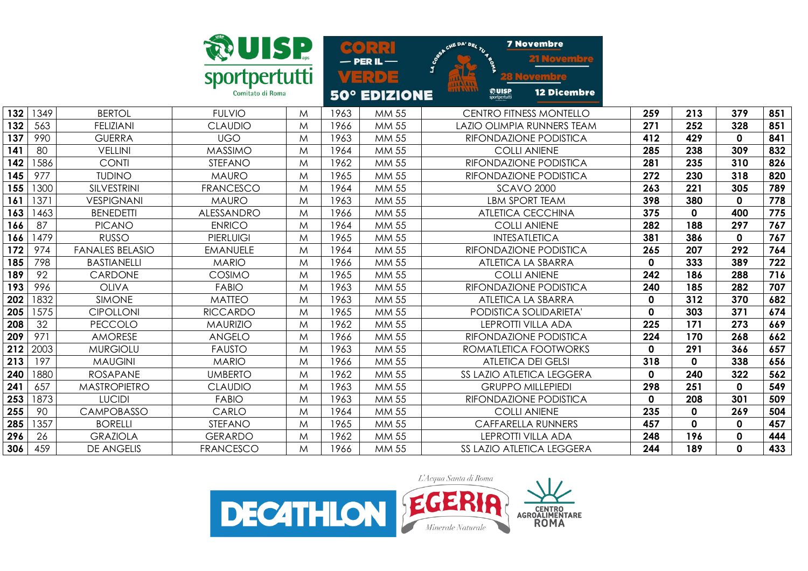|     |      |                        | <b>WUISP</b>     | $\infty$ $\bullet$ )              |      |                                              | CHE DA' DEL TU 4 RO | <b>7 Novembre</b>                      |                           |             |              |              |     |
|-----|------|------------------------|------------------|-----------------------------------|------|----------------------------------------------|---------------------|----------------------------------------|---------------------------|-------------|--------------|--------------|-----|
|     |      |                        |                  | sportpertutti<br>Comitato di Roma |      | $-$ PER IL -<br>VERDE<br><b>50° EDIZIONE</b> | <b>AAAAAAA</b>      | <b>AAAAA</b><br>©UISP<br>sportpertutti | <b>12 Dicembre</b>        |             |              |              |     |
| 132 | 1349 | <b>BERTOL</b>          | <b>FULVIO</b>    | M                                 | 1963 | MM 55                                        |                     | <b>CENTRO FITNESS MONTELLO</b>         |                           | 259         | 213          | 379          | 851 |
| 132 | 563  | <b>FELIZIANI</b>       | <b>CLAUDIO</b>   | M                                 | 1966 | MM 55                                        |                     | LAZIO OLIMPIA RUNNERS TEAM             |                           | 271         | 252          | 328          | 851 |
| 137 | 990  | <b>GUERRA</b>          | <b>UGO</b>       | M                                 | 1963 | MM 55                                        |                     | RIFONDAZIONE PODISTICA                 |                           | 412         | 429          | 0            | 841 |
| 141 | 80   | <b>VELLINI</b>         | <b>MASSIMO</b>   | M                                 | 1964 | MM 55                                        |                     |                                        | <b>COLLI ANIENE</b>       | 285         | 238          | 309          | 832 |
| 142 | 1586 | <b>CONTI</b>           | STEFANO          | M                                 | 1962 | MM 55                                        |                     | RIFONDAZIONE PODISTICA                 |                           | 281         | 235          | 310          | 826 |
| 145 | 977  | <b>TUDINO</b>          | <b>MAURO</b>     | M                                 | 1965 | MM 55                                        |                     | RIFONDAZIONE PODISTICA                 |                           | 272         | 230          | 318          | 820 |
| 155 | 1300 | SILVESTRINI            | <b>FRANCESCO</b> | M                                 | 1964 | MM 55                                        |                     |                                        | <b>SCAVO 2000</b>         | 263         | 221          | 305          | 789 |
| 161 | 1371 | <b>VESPIGNANI</b>      | <b>MAURO</b>     | M                                 | 1963 | MM 55                                        |                     |                                        | LBM SPORT TEAM            | 398         | 380          | 0            | 778 |
| 163 | 1463 | <b>BENEDETTI</b>       | ALESSANDRO       | M                                 | 1966 | MM 55                                        |                     |                                        | <b>ATLETICA CECCHINA</b>  | 375         | $\mathbf 0$  | 400          | 775 |
| 166 | 87   | <b>PICANO</b>          | <b>ENRICO</b>    | M                                 | 1964 | MM 55                                        |                     |                                        | <b>COLLI ANIENE</b>       | 282         | 188          | 297          | 767 |
| 166 | 1479 | <b>RUSSO</b>           | <b>PIERLUIGI</b> | M                                 | 1965 | MM 55                                        |                     |                                        | <b>INTESATLETICA</b>      | 381         | 386          | $\mathbf 0$  | 767 |
| 172 | 974  | <b>FANALES BELASIO</b> | <b>EMANUELE</b>  | M                                 | 1964 | MM 55                                        |                     | RIFONDAZIONE PODISTICA                 |                           | 265         | 207          | 292          | 764 |
| 185 | 798  | <b>BASTIANELLI</b>     | <b>MARIO</b>     | M                                 | 1966 | MM 55                                        |                     |                                        | ATLETICA LA SBARRA        | $\mathbf 0$ | 333          | 389          | 722 |
| 189 | 92   | CARDONE                | COSIMO           | M                                 | 1965 | MM 55                                        |                     |                                        | <b>COLLI ANIENE</b>       | 242         | 186          | 288          | 716 |
| 193 | 996  | <b>OLIVA</b>           | <b>FABIO</b>     | M                                 | 1963 | MM 55                                        |                     | RIFONDAZIONE PODISTICA                 |                           | 240         | 185          | 282          | 707 |
| 202 | 1832 | <b>SIMONE</b>          | <b>MATTEO</b>    | M                                 | 1963 | MM 55                                        |                     |                                        | ATLETICA LA SBARRA        | $\mathbf 0$ | 312          | 370          | 682 |
| 205 | 1575 | <b>CIPOLLONI</b>       | <b>RICCARDO</b>  | M                                 | 1965 | MM 55                                        |                     |                                        | PODISTICA SOLIDARIETA'    | $\mathbf 0$ | 303          | 371          | 674 |
| 208 | 32   | PECCOLO                | <b>MAURIZIO</b>  | M                                 | 1962 | MM 55                                        |                     |                                        | <b>LEPROTTI VILLA ADA</b> | 225         | 171          | 273          | 669 |
| 209 | 971  | <b>AMORESE</b>         | <b>ANGELO</b>    | M                                 | 1966 | MM 55                                        |                     | RIFONDAZIONE PODISTICA                 |                           | 224         | 170          | 268          | 662 |
| 212 | 2003 | <b>MURGIOLU</b>        | <b>FAUSTO</b>    | M                                 | 1963 | MM 55                                        |                     | ROMATLETICA FOOTWORKS                  |                           | $\mathbf 0$ | 291          | 366          | 657 |
| 213 | 197  | <b>MAUGINI</b>         | <b>MARIO</b>     | M                                 | 1966 | MM 55                                        |                     |                                        | <b>ATLETICA DEI GELSI</b> | 318         | $\mathbf 0$  | 338          | 656 |
| 240 | 1880 | <b>ROSAPANE</b>        | <b>UMBERTO</b>   | M                                 | 1962 | MM 55                                        |                     | SS LAZIO ATLETICA LEGGERA              |                           | $\mathbf 0$ | 240          | 322          | 562 |
| 241 | 657  | <b>MASTROPIETRO</b>    | <b>CLAUDIO</b>   | M                                 | 1963 | MM 55                                        |                     |                                        | <b>GRUPPO MILLEPIEDI</b>  | 298         | 251          | $\mathbf 0$  | 549 |
| 253 | 1873 | <b>LUCIDI</b>          | <b>FABIO</b>     | M                                 | 1963 | MM 55                                        |                     | RIFONDAZIONE PODISTICA                 |                           | $\mathbf 0$ | 208          | 301          | 509 |
| 255 | 90   | <b>CAMPOBASSO</b>      | CARLO            | M                                 | 1964 | MM 55                                        |                     |                                        | <b>COLLI ANIENE</b>       | 235         | $\mathbf 0$  | 269          | 504 |
| 285 | 1357 | <b>BORELLI</b>         | <b>STEFANO</b>   | M                                 | 1965 | MM 55                                        |                     |                                        | <b>CAFFARELLA RUNNERS</b> | 457         | $\mathbf{0}$ | 0            | 457 |
| 296 | 26   | <b>GRAZIOLA</b>        | <b>GERARDO</b>   | M                                 | 1962 | MM 55                                        |                     |                                        | <b>LEPROTTI VILLA ADA</b> | 248         | 196          | 0            | 444 |
| 306 | 459  | <b>DE ANGELIS</b>      | <b>FRANCESCO</b> | M                                 | 1966 | MM 55                                        |                     | SS LAZIO ATLETICA LEGGERA              |                           | 244         | 189          | $\mathbf{0}$ | 433 |

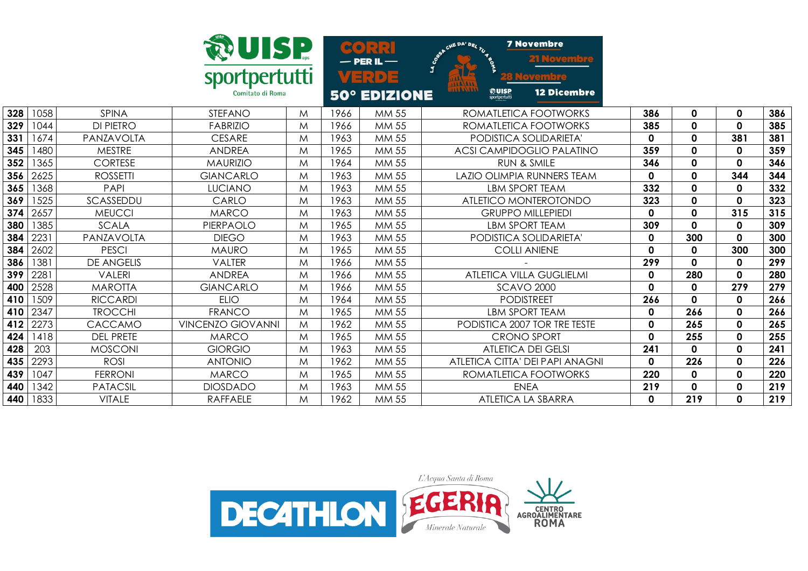|     |      |                   |                          | <b>WUISP</b><br>sportpertutti |      |                              | CHE DA' DEL TU 4 PO<br>$\overline{3}$               | <b>7 Novembre</b><br>21 Novembre |              |              |              |     |
|-----|------|-------------------|--------------------------|-------------------------------|------|------------------------------|-----------------------------------------------------|----------------------------------|--------------|--------------|--------------|-----|
|     |      |                   | Comitato di Roma         |                               |      | VERDE<br><b>50° EDIZIONE</b> | <b>HALASS</b><br>11111111<br>おUISP<br>sportpertutti | <b>12 Dicembre</b>               |              |              |              |     |
| 328 | 1058 | SPINA             | <b>STEFANO</b>           | M                             | 1966 | MM 55                        |                                                     | ROMATLETICA FOOTWORKS            | 386          | 0            | 0            | 386 |
| 329 | 1044 | <b>DI PIETRO</b>  | <b>FABRIZIO</b>          | M                             | 1966 | MM 55                        |                                                     | ROMATLETICA FOOTWORKS            | 385          | $\mathbf{0}$ | $\mathbf{0}$ | 385 |
| 331 | 1674 | PANZAVOLTA        | <b>CESARE</b>            | M                             | 1963 | MM 55                        |                                                     | PODISTICA SOLIDARIETA'           | $\mathbf 0$  | 0            | 381          | 381 |
| 345 | 1480 | <b>MESTRE</b>     | <b>ANDREA</b>            | M                             | 1965 | MM 55                        |                                                     | <b>ACSI CAMPIDOGLIO PALATINO</b> | 359          | 0            | 0            | 359 |
| 352 | 1365 | <b>CORTESE</b>    | <b>MAURIZIO</b>          | M                             | 1964 | MM 55                        |                                                     | <b>RUN &amp; SMILE</b>           | 346          | 0            | 0            | 346 |
| 356 | 2625 | <b>ROSSETTI</b>   | <b>GIANCARLO</b>         | M                             | 1963 | MM 55                        |                                                     | LAZIO OLIMPIA RUNNERS TEAM       | $\mathbf 0$  | $\mathbf 0$  | 344          | 344 |
| 365 | 1368 | PAPI              | <b>LUCIANO</b>           | M                             | 1963 | MM 55                        |                                                     | <b>LBM SPORT TEAM</b>            | 332          | $\mathbf 0$  | $\mathbf 0$  | 332 |
| 369 | 1525 | SCASSEDDU         | CARLO                    | M                             | 1963 | MM 55                        |                                                     | ATLETICO MONTEROTONDO            | 323          | $\mathbf{0}$ | 0            | 323 |
| 374 | 2657 | <b>MEUCCI</b>     | <b>MARCO</b>             | M                             | 1963 | MM 55                        |                                                     | <b>GRUPPO MILLEPIEDI</b>         | $\mathbf 0$  | $\mathbf 0$  | 315          | 315 |
| 380 | 1385 | <b>SCALA</b>      | PIERPAOLO                | M                             | 1965 | MM 55                        |                                                     | LBM SPORT TEAM                   | 309          | $\mathbf{0}$ | 0            | 309 |
| 384 | 2231 | PANZAVOLTA        | <b>DIEGO</b>             | M                             | 1963 | MM 55                        |                                                     | PODISTICA SOLIDARIETA'           | $\mathbf 0$  | 300          | 0            | 300 |
| 384 | 2602 | <b>PESCI</b>      | <b>MAURO</b>             | M                             | 1965 | MM 55                        |                                                     | <b>COLLI ANIENE</b>              | $\mathbf 0$  | 0            | 300          | 300 |
| 386 | 1381 | <b>DE ANGELIS</b> | <b>VALTER</b>            | M                             | 1966 | MM 55                        |                                                     |                                  | 299          | 0            | 0            | 299 |
| 399 | 2281 | <b>VALERI</b>     | <b>ANDREA</b>            | M                             | 1966 | MM 55                        |                                                     | <b>ATLETICA VILLA GUGLIELMI</b>  | $\mathbf 0$  | 280          | $\mathbf{0}$ | 280 |
| 400 | 2528 | <b>MAROTTA</b>    | <b>GIANCARLO</b>         | M                             | 1966 | MM 55                        |                                                     | <b>SCAVO 2000</b>                | $\mathbf 0$  | $\mathbf 0$  | 279          | 279 |
| 410 | 1509 | <b>RICCARDI</b>   | <b>ELIO</b>              | M                             | 1964 | MM 55                        |                                                     | <b>PODISTREET</b>                | 266          | $\Omega$     | 0            | 266 |
| 410 | 2347 | <b>TROCCHI</b>    | <b>FRANCO</b>            | M                             | 1965 | MM 55                        |                                                     | <b>LBM SPORT TEAM</b>            | $\mathbf 0$  | 266          | 0            | 266 |
| 412 | 2273 | CACCAMO           | <b>VINCENZO GIOVANNI</b> | M                             | 1962 | MM 55                        |                                                     | PODISTICA 2007 TOR TRE TESTE     | $\mathbf 0$  | 265          | 0            | 265 |
| 424 | 1418 | <b>DEL PRETE</b>  | <b>MARCO</b>             | M                             | 1965 | MM 55                        |                                                     | <b>CRONO SPORT</b>               | $\mathbf 0$  | 255          | 0            | 255 |
| 428 | 203  | <b>MOSCONI</b>    | <b>GIORGIO</b>           | M                             | 1963 | MM 55                        |                                                     | <b>ATLETICA DEI GELSI</b>        | 241          | 0            | 0            | 241 |
| 435 | 2293 | <b>ROSI</b>       | <b>ANTONIO</b>           | M                             | 1962 | MM 55                        |                                                     | ATLETICA CITTA' DEI PAPI ANAGNI  | $\mathbf 0$  | 226          | 0            | 226 |
| 439 | 1047 | <b>FERRONI</b>    | <b>MARCO</b>             | M                             | 1965 | MM 55                        |                                                     | ROMATLETICA FOOTWORKS            | 220          | 0            | 0            | 220 |
| 440 | 1342 | <b>PATACSIL</b>   | <b>DIOSDADO</b>          | M                             | 1963 | MM 55                        |                                                     | <b>ENEA</b>                      | 219          | $\mathbf 0$  | 0            | 219 |
| 440 | 1833 | <b>VITALE</b>     | <b>RAFFAELE</b>          | M                             | 1962 | MM 55                        |                                                     | ATLETICA LA SBARRA               | $\mathbf{0}$ | 219          | $\mathbf{0}$ | 219 |
|     |      |                   |                          |                               |      |                              |                                                     |                                  |              |              |              |     |

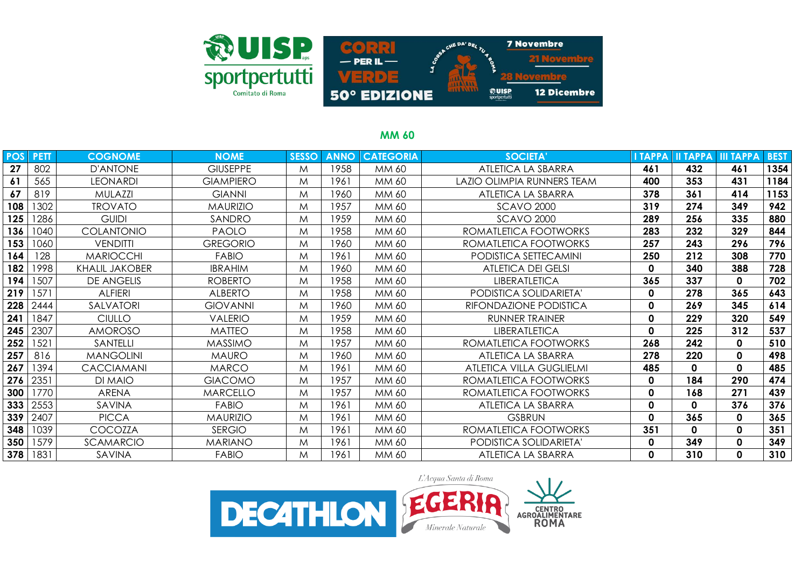

| <b>POS</b> | <b>PETT</b> | <b>COGNOME</b>        | <b>NOME</b>      | <b>SESSO</b> | <b>ANNO</b> | <b>CATEGORIA</b> | <b>SOCIETA'</b>                   | <b>TAPPA</b> | <b>II TAPPA</b> | <b>III TAPPA</b> | <b>BEST</b> |
|------------|-------------|-----------------------|------------------|--------------|-------------|------------------|-----------------------------------|--------------|-----------------|------------------|-------------|
| 27         | 802         | <b>D'ANTONE</b>       | <b>GIUSEPPE</b>  | M            | 1958        | MM 60            | ATLETICA LA SBARRA                | 461          | 432             | 461              | 1354        |
| 61         | 565         | <b>LEONARDI</b>       | <b>GIAMPIERO</b> | M            | 1961        | MM 60            | <b>LAZIO OLIMPIA RUNNERS TEAM</b> | 400          | 353             | 431              | 1184        |
| 67         | 819         | MULAZZI               | <b>GIANNI</b>    | M            | 1960        | MM 60            | ATLETICA LA SBARRA                | 378          | 361             | 414              | 1153        |
| 108        | 1302        | <b>TROVATO</b>        | <b>MAURIZIO</b>  | M            | 1957        | MM 60            | <b>SCAVO 2000</b>                 | 319          | 274             | 349              | 942         |
| 125        | 1286        | <b>GUIDI</b>          | SANDRO           | M            | 1959        | MM 60            | <b>SCAVO 2000</b>                 | 289          | 256             | 335              | 880         |
| 136        | 1040        | <b>COLANTONIO</b>     | <b>PAOLO</b>     | M            | 1958        | MM 60            | ROMATLETICA FOOTWORKS             | 283          | 232             | 329              | 844         |
| 153        | 1060        | <b>VENDITI</b>        | <b>GREGORIO</b>  | M            | 1960        | MM 60            | ROMATLETICA FOOTWORKS             | 257          | 243             | 296              | 796         |
| 164        | 128         | <b>MARIOCCHI</b>      | <b>FABIO</b>     | M            | 1961        | MM 60            | PODISTICA SETTECAMINI             | 250          | 212             | 308              | 770         |
| 182        | 1998        | <b>KHALIL JAKOBER</b> | <b>IBRAHIM</b>   | M            | 1960        | MM 60            | <b>ATLETICA DEI GELSI</b>         | 0            | 340             | 388              | 728         |
| 194        | 1507        | <b>DE ANGELIS</b>     | <b>ROBERTO</b>   | M            | 1958        | MM 60            | <b>LIBERATLETICA</b>              | 365          | 337             | 0                | 702         |
| 219        | 1571        | <b>ALFIERI</b>        | <b>ALBERTO</b>   | M            | 1958        | MM 60            | PODISTICA SOLIDARIETA'            | 0            | 278             | 365              | 643         |
| 228        | 2444        | SALVATORI             | <b>GIOVANNI</b>  | M            | 1960        | MM 60            | RIFONDAZIONE PODISTICA            | 0            | 269             | 345              | 614         |
| 241        | 1847        | <b>CIULLO</b>         | <b>VALERIO</b>   | M            | 1959        | MM 60            | <b>RUNNER TRAINER</b>             | 0            | 229             | 320              | 549         |
| 245        | 2307        | AMOROSO               | <b>MATTEO</b>    | M            | 1958        | MM 60            | <b>LIBERATLETICA</b>              | 0            | 225             | 312              | 537         |
| 252        | 1521        | SANTELLI              | MASSIMO          | M            | 1957        | MM 60            | ROMATLETICA FOOTWORKS             | 268          | 242             | 0                | 510         |
| 257        | 816         | <b>MANGOLINI</b>      | <b>MAURO</b>     | M            | 1960        | MM 60            | ATLETICA LA SBARRA                | 278          | 220             | 0                | 498         |
| 267        | 1394        | <b>CACCIAMANI</b>     | <b>MARCO</b>     | M            | 1961        | MM 60            | ATLETICA VILLA GUGLIELMI          | 485          | $\mathbf{0}$    | $\mathbf 0$      | 485         |
| 276        | 2351        | DI MAIO               | <b>GIACOMO</b>   | M            | 1957        | MM 60            | ROMATLETICA FOOTWORKS             | 0            | 184             | 290              | 474         |
| 300        | 1770        | <b>ARENA</b>          | <b>MARCELLO</b>  | M            | 1957        | MM 60            | ROMATLETICA FOOTWORKS             | 0            | 168             | 271              | 439         |
| 333        | 2553        | SAVINA                | <b>FABIO</b>     | M            | 1961        | MM 60            | ATLETICA LA SBARRA                | 0            | 0               | 376              | 376         |
| 339        | 2407        | <b>PICCA</b>          | <b>MAURIZIO</b>  | M            | 1961        | MM 60            | <b>GSBRUN</b>                     | 0            | 365             | 0                | 365         |
| 348        | 1039        | COCOZZA               | <b>SERGIO</b>    | M            | 1961        | MM 60            | ROMATLETICA FOOTWORKS             | 351          | $\mathbf{0}$    | 0                | 351         |
| 350        | 1579        | <b>SCAMARCIO</b>      | <b>MARIANO</b>   | M            | 1961        | MM 60            | PODISTICA SOLIDARIETA'            | 0            | 349             | 0                | 349         |
| 378        | 1831        | SAVINA                | <b>FABIO</b>     | M            | 1961        | MM 60            | ATLETICA LA SBARRA                | 0            | 310             | $\mathbf{0}$     | 310         |

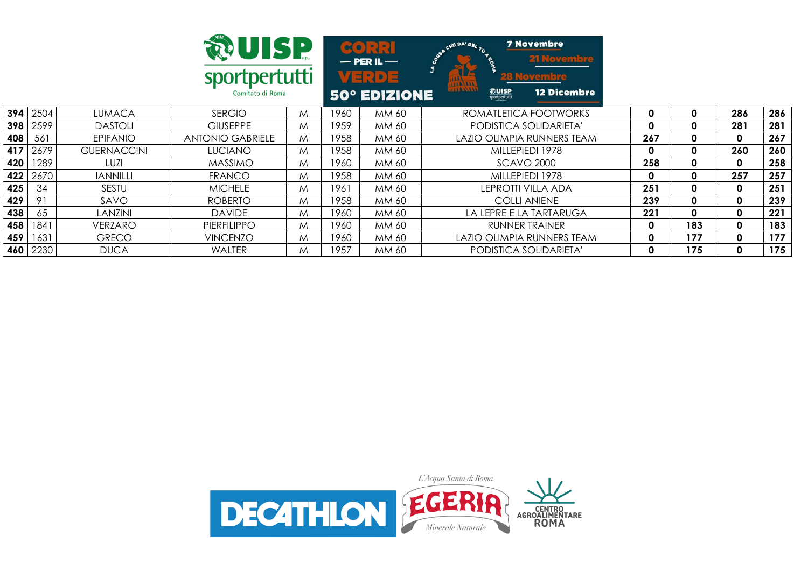|     |      |                    | <b>RUISP</b><br>sportpertutti<br>Comitato di Roma |   |      | CO RRI<br>$-$ PER IL $-$<br>VERDE<br><b>50° EDIZIONE</b> | CHE DA' DEL TU<br>ပ္ပ<br>ЛĘ<br><b>HAAAAA</b><br>111811814<br>$\frac{1}{\frac{1}{2}}$ <b>COULSP</b> | <b>7 Novembre</b><br><b>21 Novembre</b><br><b>Novembre</b><br>12 Dicembre |             |             |             |     |
|-----|------|--------------------|---------------------------------------------------|---|------|----------------------------------------------------------|----------------------------------------------------------------------------------------------------|---------------------------------------------------------------------------|-------------|-------------|-------------|-----|
| 394 | 2504 | <b>LUMACA</b>      | <b>SERGIO</b>                                     | M | 1960 | MM 60                                                    |                                                                                                    | ROMATLETICA FOOTWORKS                                                     | $\mathbf 0$ | $\mathbf 0$ | 286         | 286 |
| 398 | 2599 | <b>DASTOLI</b>     | <b>GIUSEPPE</b>                                   | M | 1959 | MM 60                                                    |                                                                                                    | PODISTICA SOLIDARIETA'                                                    | 0           | $\mathbf 0$ | 281         | 281 |
| 408 | 561  | <b>EPIFANIO</b>    | <b>ANTONIO GABRIELE</b>                           | M | 1958 | MM 60                                                    |                                                                                                    | LAZIO OLIMPIA RUNNERS TEAM                                                | 267         | $\mathbf 0$ | $\mathbf 0$ | 267 |
| 417 | 2679 | <b>GUERNACCINI</b> | <b>LUCIANO</b>                                    | M | 1958 | MM 60                                                    |                                                                                                    | MILLEPIEDI 1978                                                           | 0           | 0           | 260         | 260 |
| 420 | 1289 | LUZI               | <b>MASSIMO</b>                                    | M | 1960 | MM 60                                                    |                                                                                                    | SCAVO 2000                                                                | 258         | 0           | 0           | 258 |
| 422 | 2670 | <b>IANNILLI</b>    | <b>FRANCO</b>                                     | M | 1958 | MM 60                                                    |                                                                                                    | MILLEPIEDI 1978                                                           | 0           | 0           | 257         | 257 |
| 425 | 34   | SESTU              | <b>MICHELE</b>                                    | M | 1961 | MM 60                                                    |                                                                                                    | LEPROTTI VILLA ADA                                                        | 251         | 0           | 0           | 251 |
| 429 | 91   | <b>SAVO</b>        | <b>ROBERTO</b>                                    | M | 1958 | MM 60                                                    |                                                                                                    | <b>COLLI ANIENE</b>                                                       | 239         | 0           | 0           | 239 |
| 438 | 65   | LANZINI            | <b>DAVIDE</b>                                     | M | 1960 | MM 60                                                    |                                                                                                    | LA LEPRE E LA TARTARUGA                                                   | 221         | $\Omega$    | 0           | 221 |
| 458 | 1841 | <b>VERZARO</b>     | <b>PIERFILIPPO</b>                                | M | 1960 | MM 60                                                    |                                                                                                    | RUNNER TRAINER                                                            | 0           | 183         | 0           | 183 |
| 459 | 1631 | <b>GRECO</b>       | <b>VINCENZO</b>                                   | M | 1960 | MM 60                                                    |                                                                                                    | LAZIO OLIMPIA RUNNERS TEAM                                                | 0           | 177         | 0           | 177 |
| 460 | 2230 | <b>DUCA</b>        | <b>WALTER</b>                                     | M | 1957 | MM 60                                                    |                                                                                                    | PODISTICA SOLIDARIETA'                                                    | 0           | 175         | 0           | 175 |

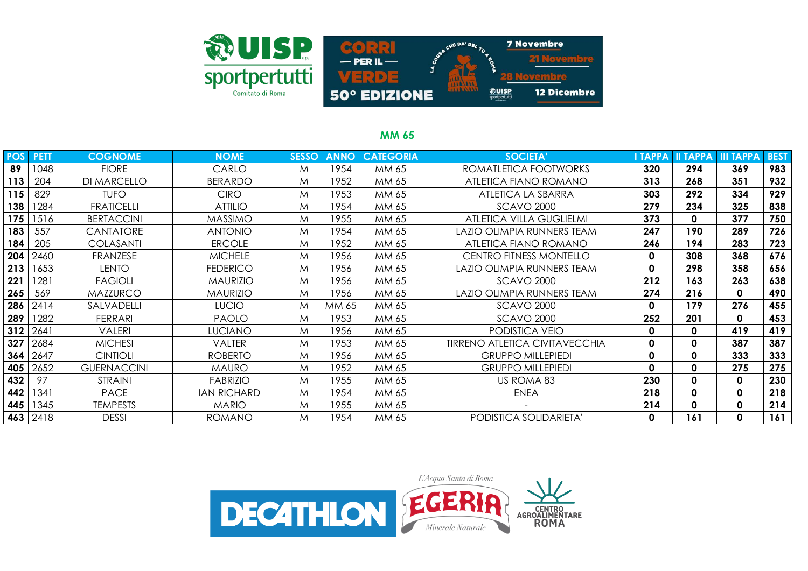

| <b>POS</b> | <b>PETT</b> | <b>COGNOME</b>     | <b>NOME</b>        | <b>SESSO</b> | <b>ANNO</b> | <b>CATEGORIA</b> | <b>SOCIETA'</b>                | <b>I TAPPA</b> | <b>II TAPPA</b> | <b>III TAPPA</b> | <b>BEST</b> |
|------------|-------------|--------------------|--------------------|--------------|-------------|------------------|--------------------------------|----------------|-----------------|------------------|-------------|
| 89         | 1048        | <b>FIORE</b>       | CARLO              | M            | 1954        | MM 65            | ROMATLETICA FOOTWORKS          | 320            | 294             | 369              | 983         |
| 113        | 204         | <b>DI MARCELLO</b> | <b>BERARDO</b>     | M            | 1952        | MM 65            | ATLETICA FIANO ROMANO          | 313            | 268             | 351              | 932         |
| 115        | 829         | <b>TUFO</b>        | <b>CIRO</b>        | M            | 1953        | MM 65            | ATLETICA LA SBARRA             | 303            | 292             | 334              | 929         |
| 138        | 1284        | <b>FRATICELLI</b>  | <b>ATTILIO</b>     | M            | 1954        | MM 65            | <b>SCAVO 2000</b>              | 279            | 234             | 325              | 838         |
| 175        | 1516        | <b>BERTACCINI</b>  | <b>MASSIMO</b>     | M            | 1955        | MM 65            | ATLETICA VILLA GUGLIELMI       | 373            | 0               | 377              | 750         |
| 183        | 557         | <b>CANTATORE</b>   | <b>ANTONIO</b>     | M            | 1954        | MM 65            | LAZIO OLIMPIA RUNNERS TEAM     | 247            | 190             | 289              | 726         |
| 184        | 205         | <b>COLASANTI</b>   | <b>ERCOLE</b>      | M            | 1952        | MM 65            | ATLETICA FIANO ROMANO          | 246            | 194             | 283              | 723         |
| 204        | 2460        | FRANZESE           | <b>MICHELE</b>     | M            | 1956        | MM 65            | CENTRO FITNESS MONTELLO        | 0              | 308             | 368              | 676         |
| 213        | 1653        | <b>LENTO</b>       | <b>FEDERICO</b>    | M            | 1956        | MM 65            | LAZIO OLIMPIA RUNNERS TEAM     | $\mathbf 0$    | 298             | 358              | 656         |
| 221        | 1281        | <b>FAGIOLI</b>     | <b>MAURIZIO</b>    | M            | 1956        | MM 65            | <b>SCAVO 2000</b>              | 212            | 163             | 263              | 638         |
| 265        | 569         | MAZZURCO           | <b>MAURIZIO</b>    | M            | 1956        | MM 65            | LAZIO OLIMPIA RUNNERS TEAM     | 274            | 216             | 0                | 490         |
| 286        | 2414        | SALVADELLI         | <b>LUCIO</b>       | M            | MM 65       | MM 65            | <b>SCAVO 2000</b>              | $\mathbf 0$    | 179             | 276              | 455         |
| 289        | 1282        | <b>FERRARI</b>     | <b>PAOLO</b>       | M            | 1953        | MM 65            | <b>SCAVO 2000</b>              | 252            | 201             | 0                | 453         |
| 312        | 2641        | <b>VALERI</b>      | <b>LUCIANO</b>     | M            | 1956        | MM 65            | PODISTICA VEIO                 | 0              | $\mathbf 0$     | 419              | 419         |
| 327        | 2684        | <b>MICHESI</b>     | <b>VALTER</b>      | M            | 1953        | MM 65            | TIRRENO ATLETICA CIVITAVECCHIA | $\mathbf 0$    | 0               | 387              | 387         |
| 364        | 2647        | <b>CINTIOLI</b>    | <b>ROBERTO</b>     | M            | 1956        | MM 65            | <b>GRUPPO MILLEPIEDI</b>       | $\mathbf 0$    | $\mathbf 0$     | 333              | 333         |
| 405        | 2652        | <b>GUERNACCINI</b> | <b>MAURO</b>       | M            | 1952        | MM 65            | <b>GRUPPO MILLEPIEDI</b>       | $\mathbf 0$    | $\mathbf 0$     | 275              | 275         |
| 432        | 97          | <b>STRAINI</b>     | <b>FABRIZIO</b>    | M            | 1955        | MM 65            | US ROMA 83                     | 230            | $\mathbf{0}$    | $\mathbf{0}$     | 230         |
| 442        | 1341        | <b>PACE</b>        | <b>IAN RICHARD</b> | M            | 1954        | MM 65            | <b>ENEA</b>                    | 218            | 0               | 0                | 218         |
| 445        | 1345        | <b>TEMPESTS</b>    | <b>MARIO</b>       | M            | 1955        | MM 65            |                                | 214            | $\mathbf 0$     | 0                | 214         |
| 463        | 2418        | <b>DESSI</b>       | <b>ROMANO</b>      | M            | 1954        | MM 65            | PODISTICA SOLIDARIETA'         | $\mathbf 0$    | 161             | 0                | 161         |

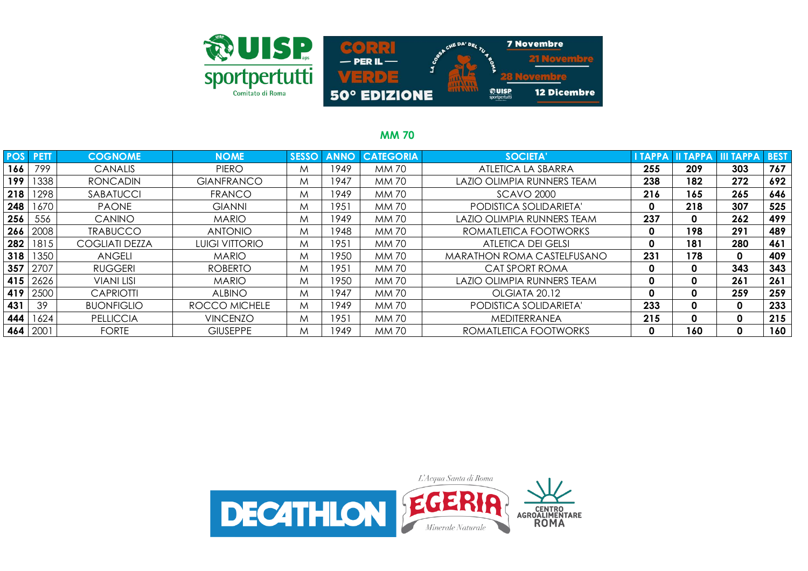

| <b>POS</b> | <b>PETT</b> | <b>COGNOME</b>    | <b>NOME</b>           | <b>SESSO</b> | <b>ANNO</b> | <b>CATEGORIA</b> | <b>SOCIETA'</b>            | <b>TAPPA</b> | <b>II TAPPA</b> | <b>III TAPPA</b> | <b>BEST</b> |
|------------|-------------|-------------------|-----------------------|--------------|-------------|------------------|----------------------------|--------------|-----------------|------------------|-------------|
| 166        | 799         | <b>CANALIS</b>    | <b>PIERO</b>          | M            | 1949        | MM 70            | ATLETICA LA SBARRA         | 255          | 209             | 303              | 767         |
| 199        | 1338        | <b>RONCADIN</b>   | <b>GIANFRANCO</b>     | M            | 1947        | <b>MM70</b>      | LAZIO OLIMPIA RUNNERS TEAM | 238          | 182             | 272              | 692         |
| 218        | 1298        | SABATUCCI         | <b>FRANCO</b>         | M            | 1949        | <b>MM70</b>      | <b>SCAVO 2000</b>          | 216          | 165             | 265              | 646         |
| 248        | 1670.       | <b>PAONE</b>      | <b>GIANNI</b>         | M            | 1951        | <b>MM70</b>      | PODISTICA SOLIDARIETA'     | 0            | 218             | 307              | 525         |
| 256        | 556         | CANINO            | <b>MARIO</b>          | M            | 1949        | MM 70            | LAZIO OLIMPIA RUNNERS TEAM | 237          | 0               | 262              | 499         |
| 266        | 2008        | <b>TRABUCCO</b>   | <b>ANTONIO</b>        | M            | 1948        | <b>MM70</b>      | ROMATLETICA FOOTWORKS      | 0            | 198             | 291              | 489         |
| 282        | 1815        | COGLIATI DEZZA    | <b>LUIGI VITTORIO</b> | M            | 1951        | <b>MM70</b>      | ATLETICA DEI GELSI         | 0            | 181             | 280              | 461         |
| 318        | 1350        | ANGELI            | <b>MARIO</b>          | M            | 1950        | MM 70            | MARATHON ROMA CASTELFUSANO | 231          | 178             | 0                | 409         |
| 357        | 2707        | <b>RUGGERI</b>    | <b>ROBERTO</b>        | M            | 1951        | MM 70            | CAT SPORT ROMA             | 0            | 0               | 343              | 343         |
| 415        | 2626        | <b>VIANI LISI</b> | <b>MARIO</b>          | M            | 1950        | MM 70            | LAZIO OLIMPIA RUNNERS TEAM | 0            | 0               | 261              | 261         |
| 419        | 2500        | <b>CAPRIOTTI</b>  | <b>ALBINO</b>         | M            | 1947        | <b>MM 70</b>     | OLGIATA 20.12              | 0            | 0               | 259              | 259         |
| 431        | 39          | <b>BUONFIGLIO</b> | ROCCO MICHELE         | M            | 1949        | <b>MM 70</b>     | PODISTICA SOLIDARIETA'     | 233          | $\mathbf{0}$    | 0                | 233         |
| 444        | 1624        | <b>PELLICCIA</b>  | <b>VINCENZO</b>       | M            | 1951        | MM 70            | MEDITERRANEA               | 215          | $\mathbf{0}$    | 0                | 215         |
| 464        | 2001        | <b>FORTE</b>      | <b>GIUSEPPE</b>       | M            | 1949.       | <b>MM70</b>      | ROMATLETICA FOOTWORKS      | 0            | 160             | 0                | 160         |